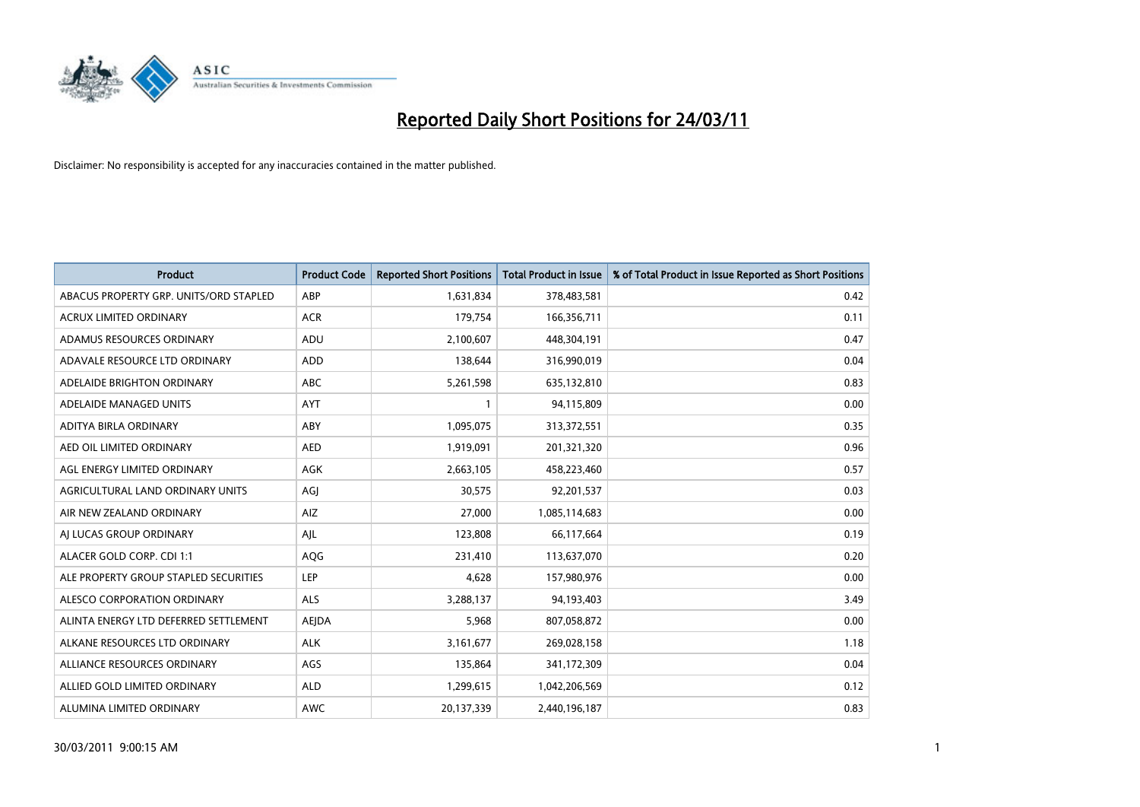

| Product                                | <b>Product Code</b> | <b>Reported Short Positions</b> | <b>Total Product in Issue</b> | % of Total Product in Issue Reported as Short Positions |
|----------------------------------------|---------------------|---------------------------------|-------------------------------|---------------------------------------------------------|
| ABACUS PROPERTY GRP. UNITS/ORD STAPLED | ABP                 | 1,631,834                       | 378,483,581                   | 0.42                                                    |
| ACRUX LIMITED ORDINARY                 | <b>ACR</b>          | 179,754                         | 166,356,711                   | 0.11                                                    |
| ADAMUS RESOURCES ORDINARY              | ADU                 | 2,100,607                       | 448,304,191                   | 0.47                                                    |
| ADAVALE RESOURCE LTD ORDINARY          | <b>ADD</b>          | 138,644                         | 316,990,019                   | 0.04                                                    |
| ADELAIDE BRIGHTON ORDINARY             | <b>ABC</b>          | 5,261,598                       | 635,132,810                   | 0.83                                                    |
| ADELAIDE MANAGED UNITS                 | <b>AYT</b>          |                                 | 94,115,809                    | 0.00                                                    |
| ADITYA BIRLA ORDINARY                  | ABY                 | 1,095,075                       | 313,372,551                   | 0.35                                                    |
| AED OIL LIMITED ORDINARY               | <b>AED</b>          | 1,919,091                       | 201,321,320                   | 0.96                                                    |
| AGL ENERGY LIMITED ORDINARY            | AGK                 | 2,663,105                       | 458,223,460                   | 0.57                                                    |
| AGRICULTURAL LAND ORDINARY UNITS       | AGJ                 | 30,575                          | 92,201,537                    | 0.03                                                    |
| AIR NEW ZEALAND ORDINARY               | AIZ                 | 27,000                          | 1,085,114,683                 | 0.00                                                    |
| AI LUCAS GROUP ORDINARY                | AJL                 | 123,808                         | 66,117,664                    | 0.19                                                    |
| ALACER GOLD CORP. CDI 1:1              | AQG                 | 231,410                         | 113,637,070                   | 0.20                                                    |
| ALE PROPERTY GROUP STAPLED SECURITIES  | LEP                 | 4,628                           | 157,980,976                   | 0.00                                                    |
| ALESCO CORPORATION ORDINARY            | <b>ALS</b>          | 3,288,137                       | 94,193,403                    | 3.49                                                    |
| ALINTA ENERGY LTD DEFERRED SETTLEMENT  | <b>AEJDA</b>        | 5,968                           | 807,058,872                   | 0.00                                                    |
| ALKANE RESOURCES LTD ORDINARY          | <b>ALK</b>          | 3,161,677                       | 269,028,158                   | 1.18                                                    |
| ALLIANCE RESOURCES ORDINARY            | <b>AGS</b>          | 135,864                         | 341,172,309                   | 0.04                                                    |
| ALLIED GOLD LIMITED ORDINARY           | <b>ALD</b>          | 1,299,615                       | 1,042,206,569                 | 0.12                                                    |
| ALUMINA LIMITED ORDINARY               | <b>AWC</b>          | 20,137,339                      | 2,440,196,187                 | 0.83                                                    |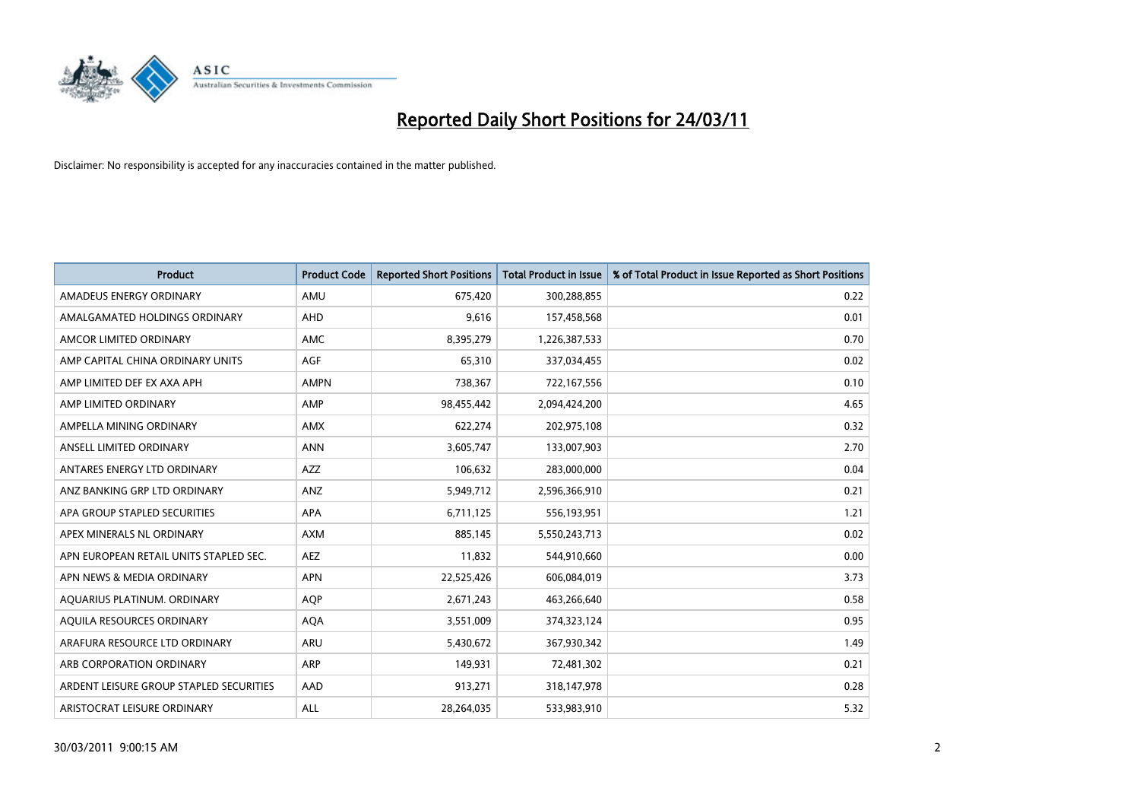

| Product                                 | <b>Product Code</b> | <b>Reported Short Positions</b> | Total Product in Issue | % of Total Product in Issue Reported as Short Positions |
|-----------------------------------------|---------------------|---------------------------------|------------------------|---------------------------------------------------------|
| AMADEUS ENERGY ORDINARY                 | AMU                 | 675,420                         | 300,288,855            | 0.22                                                    |
| AMALGAMATED HOLDINGS ORDINARY           | <b>AHD</b>          | 9,616                           | 157,458,568            | 0.01                                                    |
| AMCOR LIMITED ORDINARY                  | AMC                 | 8,395,279                       | 1,226,387,533          | 0.70                                                    |
| AMP CAPITAL CHINA ORDINARY UNITS        | AGF                 | 65,310                          | 337,034,455            | 0.02                                                    |
| AMP LIMITED DEF EX AXA APH              | <b>AMPN</b>         | 738,367                         | 722,167,556            | 0.10                                                    |
| AMP LIMITED ORDINARY                    | AMP                 | 98,455,442                      | 2,094,424,200          | 4.65                                                    |
| AMPELLA MINING ORDINARY                 | <b>AMX</b>          | 622,274                         | 202,975,108            | 0.32                                                    |
| ANSELL LIMITED ORDINARY                 | <b>ANN</b>          | 3,605,747                       | 133,007,903            | 2.70                                                    |
| ANTARES ENERGY LTD ORDINARY             | <b>AZZ</b>          | 106,632                         | 283,000,000            | 0.04                                                    |
| ANZ BANKING GRP LTD ORDINARY            | ANZ                 | 5,949,712                       | 2,596,366,910          | 0.21                                                    |
| APA GROUP STAPLED SECURITIES            | <b>APA</b>          | 6,711,125                       | 556,193,951            | 1.21                                                    |
| APEX MINERALS NL ORDINARY               | <b>AXM</b>          | 885,145                         | 5,550,243,713          | 0.02                                                    |
| APN EUROPEAN RETAIL UNITS STAPLED SEC.  | <b>AEZ</b>          | 11,832                          | 544,910,660            | 0.00                                                    |
| APN NEWS & MEDIA ORDINARY               | <b>APN</b>          | 22,525,426                      | 606,084,019            | 3.73                                                    |
| AQUARIUS PLATINUM. ORDINARY             | <b>AOP</b>          | 2,671,243                       | 463,266,640            | 0.58                                                    |
| AQUILA RESOURCES ORDINARY               | <b>AQA</b>          | 3,551,009                       | 374,323,124            | 0.95                                                    |
| ARAFURA RESOURCE LTD ORDINARY           | <b>ARU</b>          | 5,430,672                       | 367,930,342            | 1.49                                                    |
| ARB CORPORATION ORDINARY                | ARP                 | 149,931                         | 72,481,302             | 0.21                                                    |
| ARDENT LEISURE GROUP STAPLED SECURITIES | AAD                 | 913,271                         | 318,147,978            | 0.28                                                    |
| ARISTOCRAT LEISURE ORDINARY             | ALL                 | 28,264,035                      | 533,983,910            | 5.32                                                    |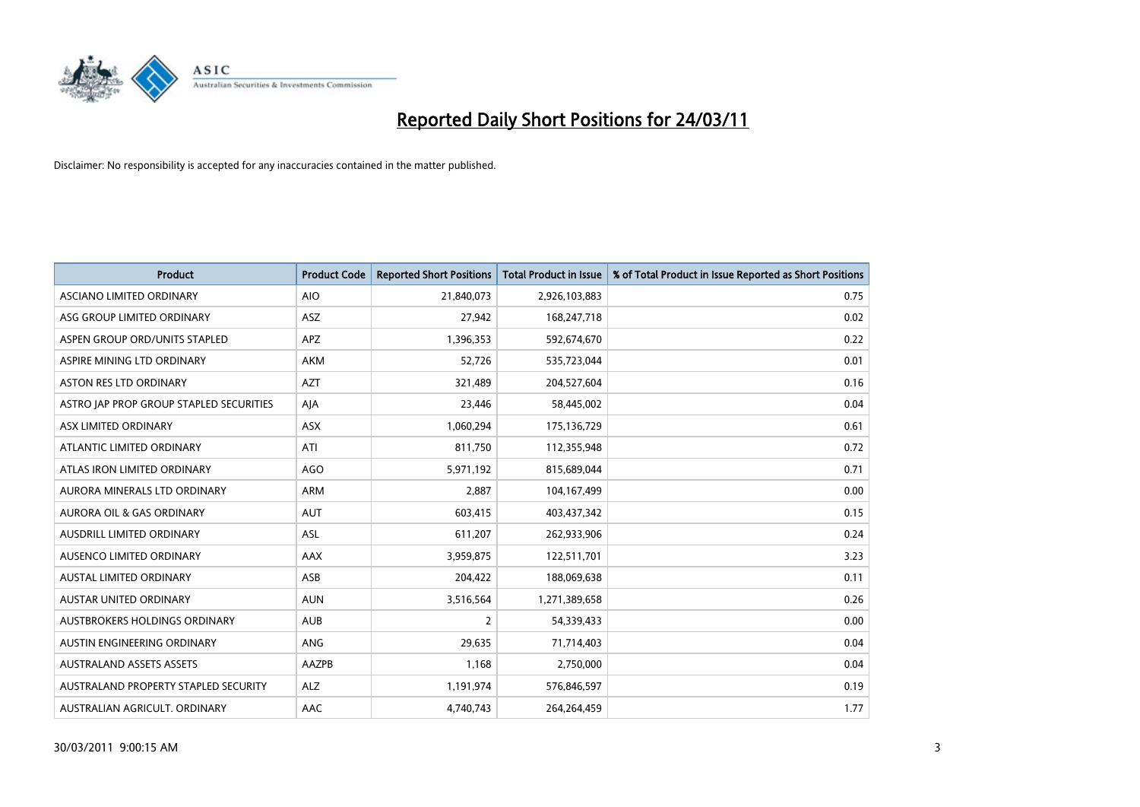

| <b>Product</b>                          | <b>Product Code</b> | <b>Reported Short Positions</b> | <b>Total Product in Issue</b> | % of Total Product in Issue Reported as Short Positions |
|-----------------------------------------|---------------------|---------------------------------|-------------------------------|---------------------------------------------------------|
| ASCIANO LIMITED ORDINARY                | <b>AIO</b>          | 21,840,073                      | 2,926,103,883                 | 0.75                                                    |
| ASG GROUP LIMITED ORDINARY              | <b>ASZ</b>          | 27,942                          | 168,247,718                   | 0.02                                                    |
| ASPEN GROUP ORD/UNITS STAPLED           | <b>APZ</b>          | 1,396,353                       | 592,674,670                   | 0.22                                                    |
| ASPIRE MINING LTD ORDINARY              | <b>AKM</b>          | 52,726                          | 535,723,044                   | 0.01                                                    |
| <b>ASTON RES LTD ORDINARY</b>           | <b>AZT</b>          | 321,489                         | 204,527,604                   | 0.16                                                    |
| ASTRO JAP PROP GROUP STAPLED SECURITIES | AJA                 | 23,446                          | 58,445,002                    | 0.04                                                    |
| ASX LIMITED ORDINARY                    | <b>ASX</b>          | 1,060,294                       | 175,136,729                   | 0.61                                                    |
| ATLANTIC LIMITED ORDINARY               | ATI                 | 811,750                         | 112,355,948                   | 0.72                                                    |
| ATLAS IRON LIMITED ORDINARY             | AGO                 | 5,971,192                       | 815,689,044                   | 0.71                                                    |
| AURORA MINERALS LTD ORDINARY            | <b>ARM</b>          | 2.887                           | 104,167,499                   | 0.00                                                    |
| AURORA OIL & GAS ORDINARY               | <b>AUT</b>          | 603,415                         | 403,437,342                   | 0.15                                                    |
| AUSDRILL LIMITED ORDINARY               | ASL                 | 611,207                         | 262,933,906                   | 0.24                                                    |
| AUSENCO LIMITED ORDINARY                | AAX                 | 3,959,875                       | 122,511,701                   | 3.23                                                    |
| <b>AUSTAL LIMITED ORDINARY</b>          | ASB                 | 204,422                         | 188,069,638                   | 0.11                                                    |
| <b>AUSTAR UNITED ORDINARY</b>           | <b>AUN</b>          | 3,516,564                       | 1,271,389,658                 | 0.26                                                    |
| AUSTBROKERS HOLDINGS ORDINARY           | <b>AUB</b>          | 2                               | 54,339,433                    | 0.00                                                    |
| AUSTIN ENGINEERING ORDINARY             | ANG                 | 29,635                          | 71,714,403                    | 0.04                                                    |
| <b>AUSTRALAND ASSETS ASSETS</b>         | AAZPB               | 1,168                           | 2,750,000                     | 0.04                                                    |
| AUSTRALAND PROPERTY STAPLED SECURITY    | <b>ALZ</b>          | 1,191,974                       | 576,846,597                   | 0.19                                                    |
| AUSTRALIAN AGRICULT, ORDINARY           | AAC                 | 4,740,743                       | 264,264,459                   | 1.77                                                    |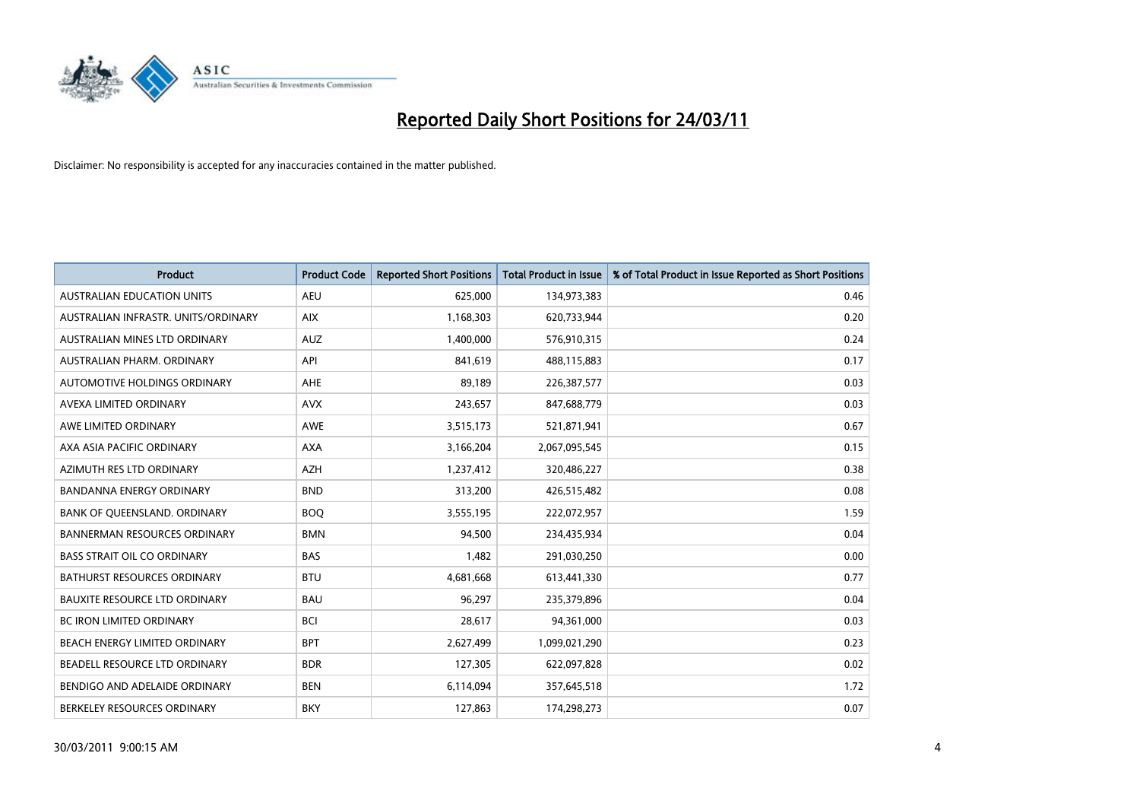

| <b>Product</b>                       | <b>Product Code</b> | <b>Reported Short Positions</b> | <b>Total Product in Issue</b> | % of Total Product in Issue Reported as Short Positions |
|--------------------------------------|---------------------|---------------------------------|-------------------------------|---------------------------------------------------------|
| <b>AUSTRALIAN EDUCATION UNITS</b>    | <b>AEU</b>          | 625,000                         | 134,973,383                   | 0.46                                                    |
| AUSTRALIAN INFRASTR, UNITS/ORDINARY  | <b>AIX</b>          | 1,168,303                       | 620,733,944                   | 0.20                                                    |
| AUSTRALIAN MINES LTD ORDINARY        | <b>AUZ</b>          | 1,400,000                       | 576,910,315                   | 0.24                                                    |
| AUSTRALIAN PHARM. ORDINARY           | API                 | 841,619                         | 488,115,883                   | 0.17                                                    |
| AUTOMOTIVE HOLDINGS ORDINARY         | <b>AHE</b>          | 89,189                          | 226,387,577                   | 0.03                                                    |
| AVEXA LIMITED ORDINARY               | <b>AVX</b>          | 243,657                         | 847,688,779                   | 0.03                                                    |
| AWE LIMITED ORDINARY                 | <b>AWE</b>          | 3,515,173                       | 521,871,941                   | 0.67                                                    |
| AXA ASIA PACIFIC ORDINARY            | <b>AXA</b>          | 3,166,204                       | 2,067,095,545                 | 0.15                                                    |
| AZIMUTH RES LTD ORDINARY             | <b>AZH</b>          | 1,237,412                       | 320,486,227                   | 0.38                                                    |
| <b>BANDANNA ENERGY ORDINARY</b>      | <b>BND</b>          | 313,200                         | 426,515,482                   | 0.08                                                    |
| BANK OF QUEENSLAND. ORDINARY         | <b>BOQ</b>          | 3,555,195                       | 222,072,957                   | 1.59                                                    |
| <b>BANNERMAN RESOURCES ORDINARY</b>  | <b>BMN</b>          | 94,500                          | 234,435,934                   | 0.04                                                    |
| <b>BASS STRAIT OIL CO ORDINARY</b>   | <b>BAS</b>          | 1,482                           | 291,030,250                   | 0.00                                                    |
| <b>BATHURST RESOURCES ORDINARY</b>   | <b>BTU</b>          | 4,681,668                       | 613,441,330                   | 0.77                                                    |
| <b>BAUXITE RESOURCE LTD ORDINARY</b> | <b>BAU</b>          | 96,297                          | 235,379,896                   | 0.04                                                    |
| <b>BC IRON LIMITED ORDINARY</b>      | <b>BCI</b>          | 28,617                          | 94,361,000                    | 0.03                                                    |
| <b>BEACH ENERGY LIMITED ORDINARY</b> | <b>BPT</b>          | 2,627,499                       | 1,099,021,290                 | 0.23                                                    |
| BEADELL RESOURCE LTD ORDINARY        | <b>BDR</b>          | 127,305                         | 622,097,828                   | 0.02                                                    |
| BENDIGO AND ADELAIDE ORDINARY        | <b>BEN</b>          | 6,114,094                       | 357,645,518                   | 1.72                                                    |
| BERKELEY RESOURCES ORDINARY          | <b>BKY</b>          | 127,863                         | 174,298,273                   | 0.07                                                    |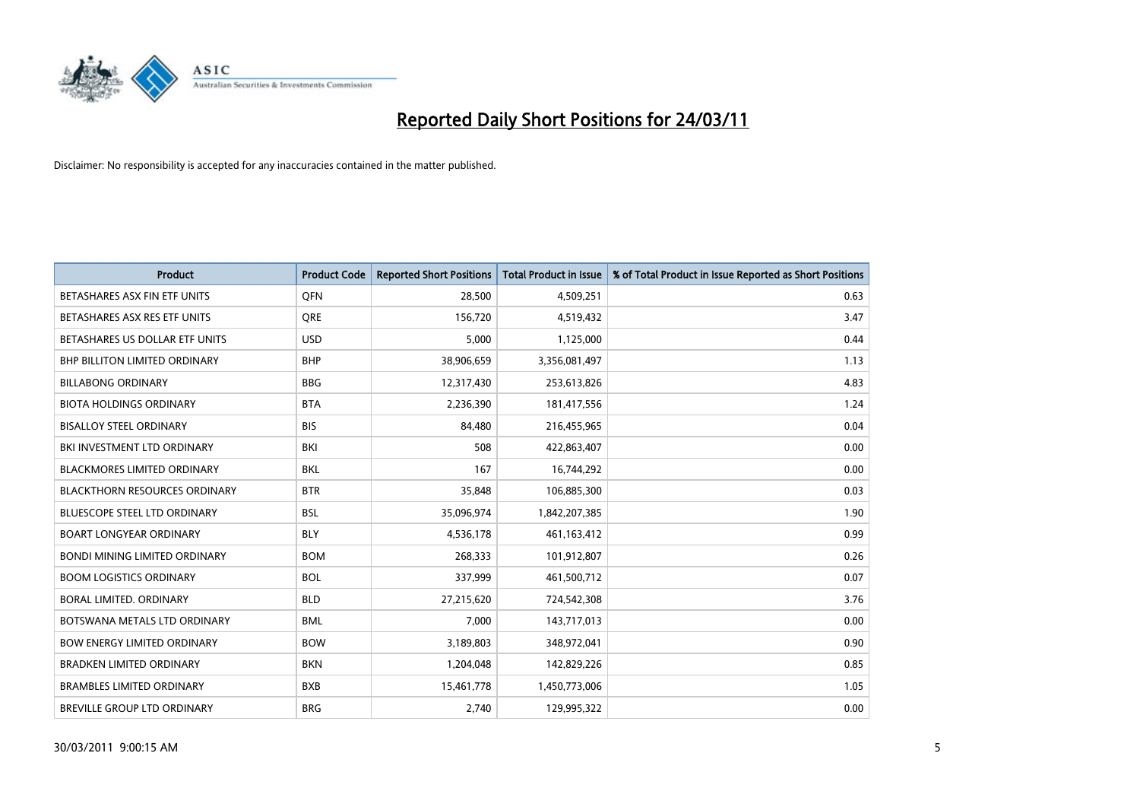

| <b>Product</b>                       | <b>Product Code</b> | <b>Reported Short Positions</b> | <b>Total Product in Issue</b> | % of Total Product in Issue Reported as Short Positions |
|--------------------------------------|---------------------|---------------------------------|-------------------------------|---------------------------------------------------------|
| BETASHARES ASX FIN ETF UNITS         | <b>OFN</b>          | 28,500                          | 4,509,251                     | 0.63                                                    |
| BETASHARES ASX RES ETF UNITS         | <b>ORE</b>          | 156,720                         | 4,519,432                     | 3.47                                                    |
| BETASHARES US DOLLAR ETF UNITS       | <b>USD</b>          | 5,000                           | 1,125,000                     | 0.44                                                    |
| BHP BILLITON LIMITED ORDINARY        | <b>BHP</b>          | 38,906,659                      | 3,356,081,497                 | 1.13                                                    |
| <b>BILLABONG ORDINARY</b>            | <b>BBG</b>          | 12,317,430                      | 253,613,826                   | 4.83                                                    |
| <b>BIOTA HOLDINGS ORDINARY</b>       | <b>BTA</b>          | 2,236,390                       | 181,417,556                   | 1.24                                                    |
| <b>BISALLOY STEEL ORDINARY</b>       | <b>BIS</b>          | 84,480                          | 216,455,965                   | 0.04                                                    |
| BKI INVESTMENT LTD ORDINARY          | <b>BKI</b>          | 508                             | 422,863,407                   | 0.00                                                    |
| BLACKMORES LIMITED ORDINARY          | <b>BKL</b>          | 167                             | 16,744,292                    | 0.00                                                    |
| <b>BLACKTHORN RESOURCES ORDINARY</b> | <b>BTR</b>          | 35,848                          | 106,885,300                   | 0.03                                                    |
| <b>BLUESCOPE STEEL LTD ORDINARY</b>  | <b>BSL</b>          | 35,096,974                      | 1,842,207,385                 | 1.90                                                    |
| <b>BOART LONGYEAR ORDINARY</b>       | <b>BLY</b>          | 4,536,178                       | 461,163,412                   | 0.99                                                    |
| <b>BONDI MINING LIMITED ORDINARY</b> | <b>BOM</b>          | 268,333                         | 101,912,807                   | 0.26                                                    |
| <b>BOOM LOGISTICS ORDINARY</b>       | <b>BOL</b>          | 337,999                         | 461,500,712                   | 0.07                                                    |
| BORAL LIMITED, ORDINARY              | <b>BLD</b>          | 27,215,620                      | 724,542,308                   | 3.76                                                    |
| BOTSWANA METALS LTD ORDINARY         | <b>BML</b>          | 7,000                           | 143,717,013                   | 0.00                                                    |
| <b>BOW ENERGY LIMITED ORDINARY</b>   | <b>BOW</b>          | 3,189,803                       | 348,972,041                   | 0.90                                                    |
| <b>BRADKEN LIMITED ORDINARY</b>      | <b>BKN</b>          | 1,204,048                       | 142,829,226                   | 0.85                                                    |
| <b>BRAMBLES LIMITED ORDINARY</b>     | <b>BXB</b>          | 15,461,778                      | 1,450,773,006                 | 1.05                                                    |
| <b>BREVILLE GROUP LTD ORDINARY</b>   | <b>BRG</b>          | 2,740                           | 129,995,322                   | 0.00                                                    |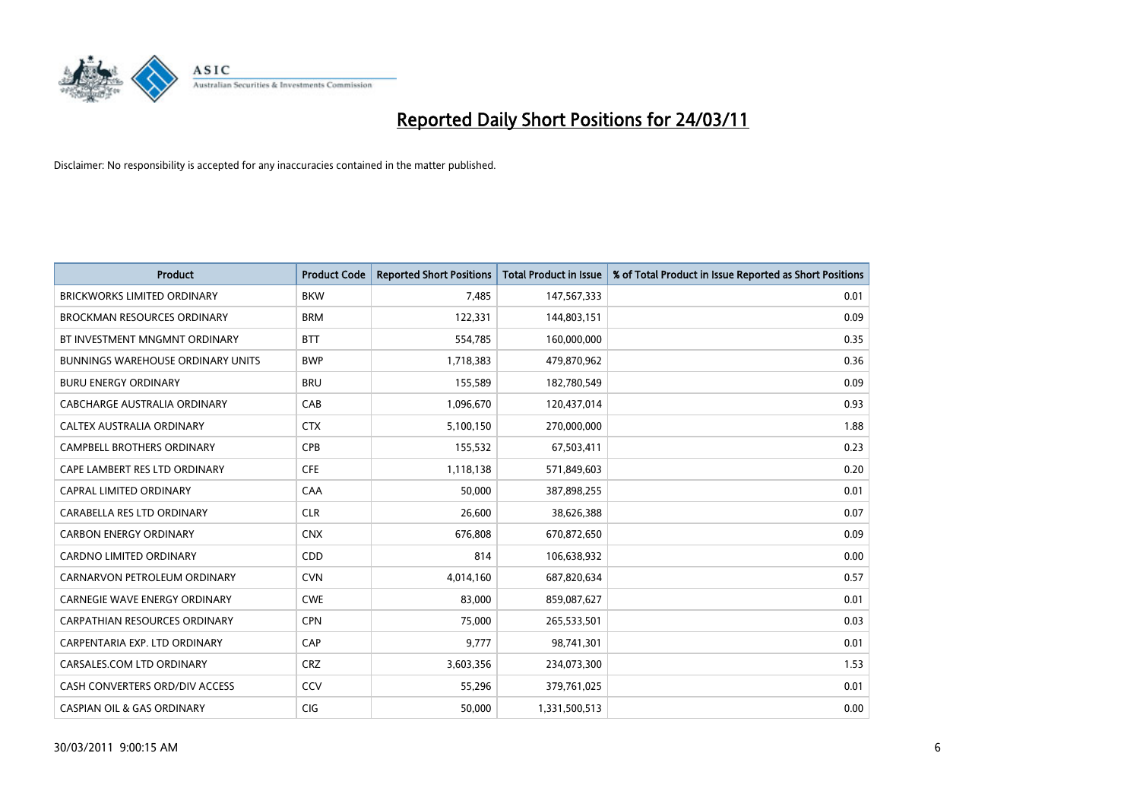

| <b>Product</b>                        | <b>Product Code</b> | <b>Reported Short Positions</b> | <b>Total Product in Issue</b> | % of Total Product in Issue Reported as Short Positions |
|---------------------------------------|---------------------|---------------------------------|-------------------------------|---------------------------------------------------------|
| <b>BRICKWORKS LIMITED ORDINARY</b>    | <b>BKW</b>          | 7,485                           | 147,567,333                   | 0.01                                                    |
| BROCKMAN RESOURCES ORDINARY           | <b>BRM</b>          | 122,331                         | 144,803,151                   | 0.09                                                    |
| BT INVESTMENT MNGMNT ORDINARY         | <b>BTT</b>          | 554,785                         | 160,000,000                   | 0.35                                                    |
| BUNNINGS WAREHOUSE ORDINARY UNITS     | <b>BWP</b>          | 1,718,383                       | 479,870,962                   | 0.36                                                    |
| <b>BURU ENERGY ORDINARY</b>           | <b>BRU</b>          | 155,589                         | 182,780,549                   | 0.09                                                    |
| CABCHARGE AUSTRALIA ORDINARY          | CAB                 | 1,096,670                       | 120,437,014                   | 0.93                                                    |
| CALTEX AUSTRALIA ORDINARY             | <b>CTX</b>          | 5,100,150                       | 270,000,000                   | 1.88                                                    |
| <b>CAMPBELL BROTHERS ORDINARY</b>     | CPB                 | 155,532                         | 67,503,411                    | 0.23                                                    |
| CAPE LAMBERT RES LTD ORDINARY         | <b>CFE</b>          | 1,118,138                       | 571,849,603                   | 0.20                                                    |
| CAPRAL LIMITED ORDINARY               | CAA                 | 50,000                          | 387,898,255                   | 0.01                                                    |
| CARABELLA RES LTD ORDINARY            | <b>CLR</b>          | 26,600                          | 38,626,388                    | 0.07                                                    |
| <b>CARBON ENERGY ORDINARY</b>         | <b>CNX</b>          | 676,808                         | 670,872,650                   | 0.09                                                    |
| <b>CARDNO LIMITED ORDINARY</b>        | CDD                 | 814                             | 106,638,932                   | 0.00                                                    |
| CARNARVON PETROLEUM ORDINARY          | <b>CVN</b>          | 4,014,160                       | 687,820,634                   | 0.57                                                    |
| <b>CARNEGIE WAVE ENERGY ORDINARY</b>  | <b>CWE</b>          | 83,000                          | 859,087,627                   | 0.01                                                    |
| CARPATHIAN RESOURCES ORDINARY         | <b>CPN</b>          | 75,000                          | 265,533,501                   | 0.03                                                    |
| CARPENTARIA EXP. LTD ORDINARY         | CAP                 | 9,777                           | 98,741,301                    | 0.01                                                    |
| CARSALES.COM LTD ORDINARY             | <b>CRZ</b>          | 3,603,356                       | 234,073,300                   | 1.53                                                    |
| CASH CONVERTERS ORD/DIV ACCESS        | CCV                 | 55,296                          | 379,761,025                   | 0.01                                                    |
| <b>CASPIAN OIL &amp; GAS ORDINARY</b> | <b>CIG</b>          | 50.000                          | 1,331,500,513                 | 0.00                                                    |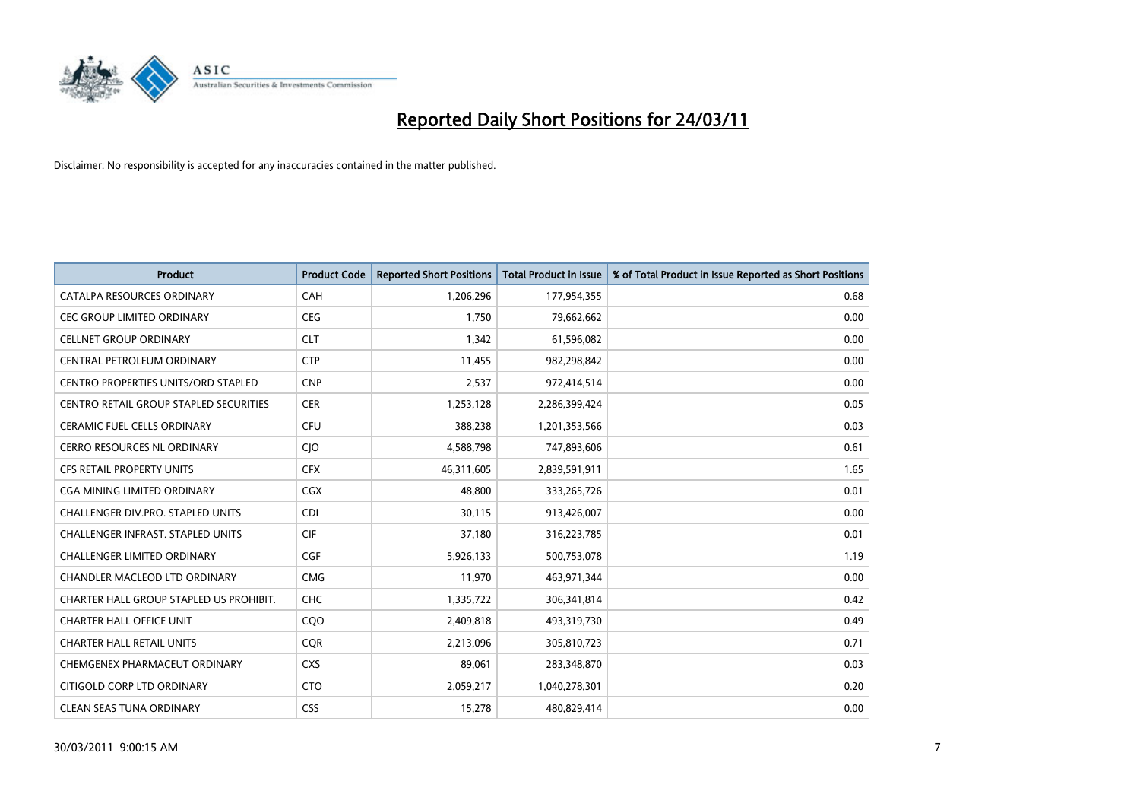

| <b>Product</b>                                | <b>Product Code</b> | <b>Reported Short Positions</b> | <b>Total Product in Issue</b> | % of Total Product in Issue Reported as Short Positions |
|-----------------------------------------------|---------------------|---------------------------------|-------------------------------|---------------------------------------------------------|
| CATALPA RESOURCES ORDINARY                    | CAH                 | 1,206,296                       | 177,954,355                   | 0.68                                                    |
| CEC GROUP LIMITED ORDINARY                    | <b>CEG</b>          | 1,750                           | 79,662,662                    | 0.00                                                    |
| <b>CELLNET GROUP ORDINARY</b>                 | <b>CLT</b>          | 1,342                           | 61,596,082                    | 0.00                                                    |
| CENTRAL PETROLEUM ORDINARY                    | <b>CTP</b>          | 11,455                          | 982,298,842                   | 0.00                                                    |
| CENTRO PROPERTIES UNITS/ORD STAPLED           | <b>CNP</b>          | 2,537                           | 972,414,514                   | 0.00                                                    |
| <b>CENTRO RETAIL GROUP STAPLED SECURITIES</b> | <b>CER</b>          | 1,253,128                       | 2,286,399,424                 | 0.05                                                    |
| <b>CERAMIC FUEL CELLS ORDINARY</b>            | <b>CFU</b>          | 388,238                         | 1,201,353,566                 | 0.03                                                    |
| <b>CERRO RESOURCES NL ORDINARY</b>            | CJO                 | 4,588,798                       | 747,893,606                   | 0.61                                                    |
| CFS RETAIL PROPERTY UNITS                     | <b>CFX</b>          | 46,311,605                      | 2,839,591,911                 | 1.65                                                    |
| CGA MINING LIMITED ORDINARY                   | <b>CGX</b>          | 48,800                          | 333,265,726                   | 0.01                                                    |
| CHALLENGER DIV.PRO. STAPLED UNITS             | <b>CDI</b>          | 30,115                          | 913,426,007                   | 0.00                                                    |
| <b>CHALLENGER INFRAST, STAPLED UNITS</b>      | <b>CIF</b>          | 37,180                          | 316,223,785                   | 0.01                                                    |
| <b>CHALLENGER LIMITED ORDINARY</b>            | <b>CGF</b>          | 5,926,133                       | 500,753,078                   | 1.19                                                    |
| <b>CHANDLER MACLEOD LTD ORDINARY</b>          | <b>CMG</b>          | 11,970                          | 463,971,344                   | 0.00                                                    |
| CHARTER HALL GROUP STAPLED US PROHIBIT.       | <b>CHC</b>          | 1,335,722                       | 306,341,814                   | 0.42                                                    |
| <b>CHARTER HALL OFFICE UNIT</b>               | CQ <sub>O</sub>     | 2,409,818                       | 493,319,730                   | 0.49                                                    |
| <b>CHARTER HALL RETAIL UNITS</b>              | <b>COR</b>          | 2,213,096                       | 305,810,723                   | 0.71                                                    |
| CHEMGENEX PHARMACEUT ORDINARY                 | <b>CXS</b>          | 89,061                          | 283,348,870                   | 0.03                                                    |
| CITIGOLD CORP LTD ORDINARY                    | <b>CTO</b>          | 2,059,217                       | 1,040,278,301                 | 0.20                                                    |
| <b>CLEAN SEAS TUNA ORDINARY</b>               | <b>CSS</b>          | 15,278                          | 480,829,414                   | 0.00                                                    |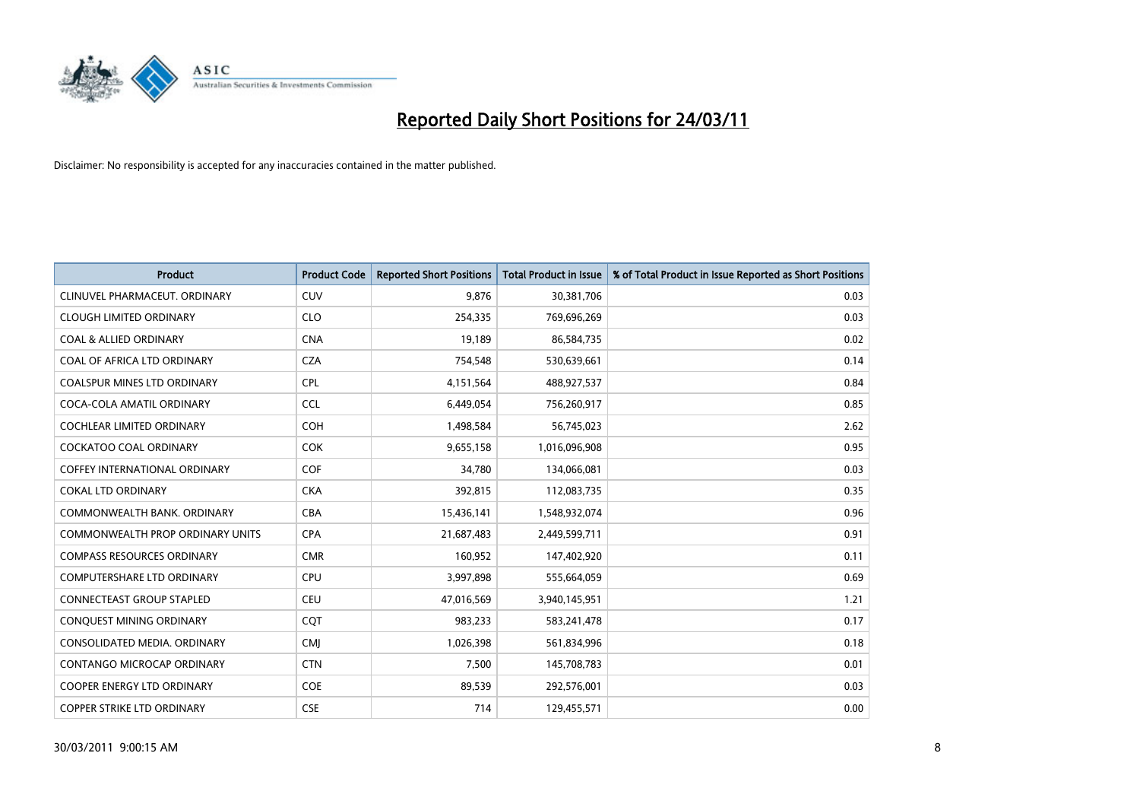

| <b>Product</b>                          | <b>Product Code</b> | <b>Reported Short Positions</b> | Total Product in Issue | % of Total Product in Issue Reported as Short Positions |
|-----------------------------------------|---------------------|---------------------------------|------------------------|---------------------------------------------------------|
| CLINUVEL PHARMACEUT, ORDINARY           | <b>CUV</b>          | 9,876                           | 30,381,706             | 0.03                                                    |
| <b>CLOUGH LIMITED ORDINARY</b>          | <b>CLO</b>          | 254,335                         | 769,696,269            | 0.03                                                    |
| <b>COAL &amp; ALLIED ORDINARY</b>       | <b>CNA</b>          | 19,189                          | 86,584,735             | 0.02                                                    |
| COAL OF AFRICA LTD ORDINARY             | <b>CZA</b>          | 754,548                         | 530,639,661            | 0.14                                                    |
| <b>COALSPUR MINES LTD ORDINARY</b>      | <b>CPL</b>          | 4,151,564                       | 488,927,537            | 0.84                                                    |
| COCA-COLA AMATIL ORDINARY               | <b>CCL</b>          | 6,449,054                       | 756,260,917            | 0.85                                                    |
| <b>COCHLEAR LIMITED ORDINARY</b>        | <b>COH</b>          | 1,498,584                       | 56,745,023             | 2.62                                                    |
| <b>COCKATOO COAL ORDINARY</b>           | <b>COK</b>          | 9,655,158                       | 1,016,096,908          | 0.95                                                    |
| COFFEY INTERNATIONAL ORDINARY           | <b>COF</b>          | 34,780                          | 134,066,081            | 0.03                                                    |
| <b>COKAL LTD ORDINARY</b>               | <b>CKA</b>          | 392,815                         | 112,083,735            | 0.35                                                    |
| COMMONWEALTH BANK, ORDINARY             | <b>CBA</b>          | 15,436,141                      | 1,548,932,074          | 0.96                                                    |
| <b>COMMONWEALTH PROP ORDINARY UNITS</b> | <b>CPA</b>          | 21,687,483                      | 2,449,599,711          | 0.91                                                    |
| <b>COMPASS RESOURCES ORDINARY</b>       | <b>CMR</b>          | 160,952                         | 147,402,920            | 0.11                                                    |
| <b>COMPUTERSHARE LTD ORDINARY</b>       | <b>CPU</b>          | 3,997,898                       | 555,664,059            | 0.69                                                    |
| <b>CONNECTEAST GROUP STAPLED</b>        | <b>CEU</b>          | 47,016,569                      | 3,940,145,951          | 1.21                                                    |
| CONQUEST MINING ORDINARY                | COT                 | 983,233                         | 583,241,478            | 0.17                                                    |
| CONSOLIDATED MEDIA, ORDINARY            | <b>CMJ</b>          | 1,026,398                       | 561,834,996            | 0.18                                                    |
| CONTANGO MICROCAP ORDINARY              | <b>CTN</b>          | 7,500                           | 145,708,783            | 0.01                                                    |
| <b>COOPER ENERGY LTD ORDINARY</b>       | <b>COE</b>          | 89,539                          | 292,576,001            | 0.03                                                    |
| COPPER STRIKE LTD ORDINARY              | <b>CSE</b>          | 714                             | 129,455,571            | 0.00                                                    |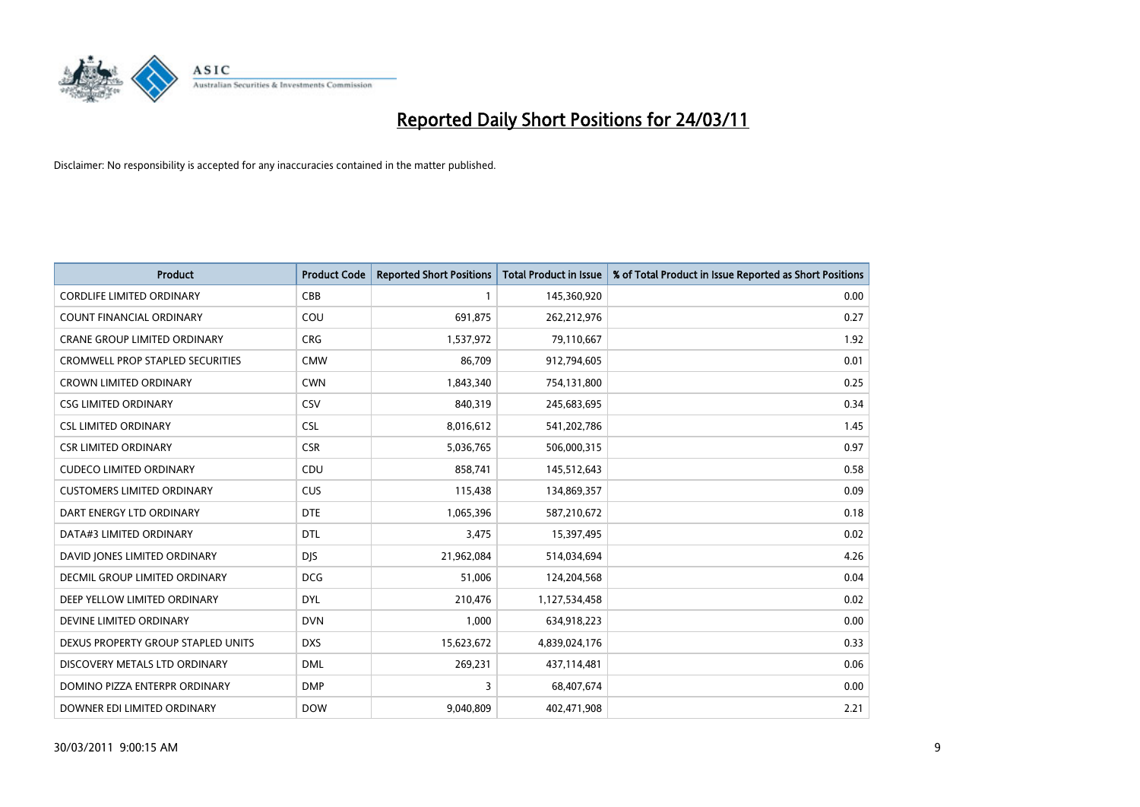

| <b>Product</b>                          | <b>Product Code</b> | <b>Reported Short Positions</b> | <b>Total Product in Issue</b> | % of Total Product in Issue Reported as Short Positions |
|-----------------------------------------|---------------------|---------------------------------|-------------------------------|---------------------------------------------------------|
| <b>CORDLIFE LIMITED ORDINARY</b>        | CBB                 |                                 | 145,360,920                   | 0.00                                                    |
| COUNT FINANCIAL ORDINARY                | COU                 | 691,875                         | 262,212,976                   | 0.27                                                    |
| <b>CRANE GROUP LIMITED ORDINARY</b>     | <b>CRG</b>          | 1,537,972                       | 79,110,667                    | 1.92                                                    |
| <b>CROMWELL PROP STAPLED SECURITIES</b> | <b>CMW</b>          | 86,709                          | 912,794,605                   | 0.01                                                    |
| <b>CROWN LIMITED ORDINARY</b>           | <b>CWN</b>          | 1,843,340                       | 754,131,800                   | 0.25                                                    |
| <b>CSG LIMITED ORDINARY</b>             | CSV                 | 840,319                         | 245,683,695                   | 0.34                                                    |
| <b>CSL LIMITED ORDINARY</b>             | <b>CSL</b>          | 8,016,612                       | 541,202,786                   | 1.45                                                    |
| <b>CSR LIMITED ORDINARY</b>             | <b>CSR</b>          | 5,036,765                       | 506,000,315                   | 0.97                                                    |
| <b>CUDECO LIMITED ORDINARY</b>          | CDU                 | 858,741                         | 145,512,643                   | 0.58                                                    |
| <b>CUSTOMERS LIMITED ORDINARY</b>       | <b>CUS</b>          | 115,438                         | 134,869,357                   | 0.09                                                    |
| DART ENERGY LTD ORDINARY                | <b>DTE</b>          | 1,065,396                       | 587,210,672                   | 0.18                                                    |
| DATA#3 LIMITED ORDINARY                 | <b>DTL</b>          | 3,475                           | 15,397,495                    | 0.02                                                    |
| DAVID JONES LIMITED ORDINARY            | <b>DJS</b>          | 21,962,084                      | 514,034,694                   | 4.26                                                    |
| <b>DECMIL GROUP LIMITED ORDINARY</b>    | <b>DCG</b>          | 51,006                          | 124,204,568                   | 0.04                                                    |
| DEEP YELLOW LIMITED ORDINARY            | <b>DYL</b>          | 210,476                         | 1,127,534,458                 | 0.02                                                    |
| DEVINE LIMITED ORDINARY                 | <b>DVN</b>          | 1,000                           | 634,918,223                   | 0.00                                                    |
| DEXUS PROPERTY GROUP STAPLED UNITS      | <b>DXS</b>          | 15,623,672                      | 4,839,024,176                 | 0.33                                                    |
| DISCOVERY METALS LTD ORDINARY           | <b>DML</b>          | 269,231                         | 437,114,481                   | 0.06                                                    |
| DOMINO PIZZA ENTERPR ORDINARY           | <b>DMP</b>          | 3                               | 68,407,674                    | 0.00                                                    |
| DOWNER EDI LIMITED ORDINARY             | <b>DOW</b>          | 9,040,809                       | 402,471,908                   | 2.21                                                    |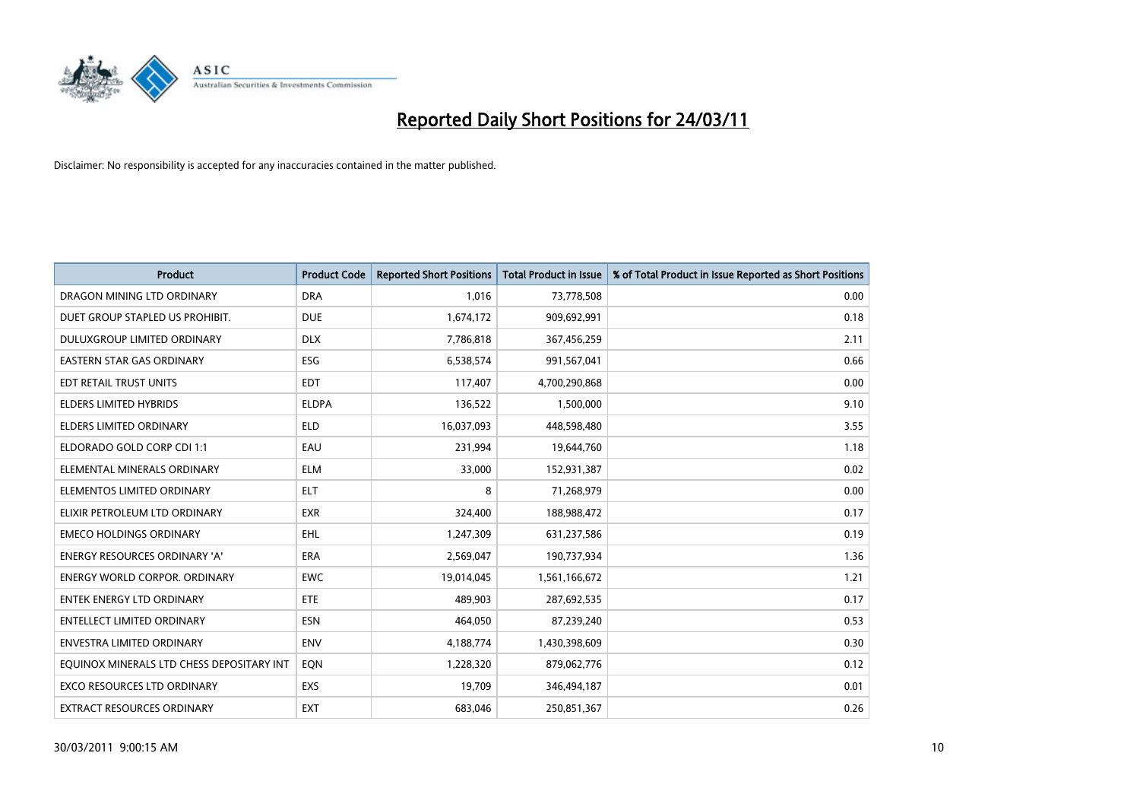

| <b>Product</b>                            | <b>Product Code</b> | <b>Reported Short Positions</b> | <b>Total Product in Issue</b> | % of Total Product in Issue Reported as Short Positions |
|-------------------------------------------|---------------------|---------------------------------|-------------------------------|---------------------------------------------------------|
| DRAGON MINING LTD ORDINARY                | <b>DRA</b>          | 1,016                           | 73,778,508                    | 0.00                                                    |
| DUET GROUP STAPLED US PROHIBIT.           | <b>DUE</b>          | 1,674,172                       | 909,692,991                   | 0.18                                                    |
| <b>DULUXGROUP LIMITED ORDINARY</b>        | <b>DLX</b>          | 7,786,818                       | 367,456,259                   | 2.11                                                    |
| EASTERN STAR GAS ORDINARY                 | <b>ESG</b>          | 6,538,574                       | 991,567,041                   | 0.66                                                    |
| EDT RETAIL TRUST UNITS                    | <b>EDT</b>          | 117,407                         | 4,700,290,868                 | 0.00                                                    |
| <b>ELDERS LIMITED HYBRIDS</b>             | <b>ELDPA</b>        | 136,522                         | 1,500,000                     | 9.10                                                    |
| ELDERS LIMITED ORDINARY                   | <b>ELD</b>          | 16,037,093                      | 448,598,480                   | 3.55                                                    |
| ELDORADO GOLD CORP CDI 1:1                | EAU                 | 231,994                         | 19,644,760                    | 1.18                                                    |
| ELEMENTAL MINERALS ORDINARY               | <b>ELM</b>          | 33,000                          | 152,931,387                   | 0.02                                                    |
| ELEMENTOS LIMITED ORDINARY                | <b>ELT</b>          | 8                               | 71,268,979                    | 0.00                                                    |
| ELIXIR PETROLEUM LTD ORDINARY             | <b>EXR</b>          | 324,400                         | 188,988,472                   | 0.17                                                    |
| <b>EMECO HOLDINGS ORDINARY</b>            | <b>EHL</b>          | 1,247,309                       | 631,237,586                   | 0.19                                                    |
| ENERGY RESOURCES ORDINARY 'A'             | <b>ERA</b>          | 2,569,047                       | 190,737,934                   | 1.36                                                    |
| <b>ENERGY WORLD CORPOR, ORDINARY</b>      | <b>EWC</b>          | 19,014,045                      | 1,561,166,672                 | 1.21                                                    |
| <b>ENTEK ENERGY LTD ORDINARY</b>          | ETE                 | 489,903                         | 287,692,535                   | 0.17                                                    |
| <b>ENTELLECT LIMITED ORDINARY</b>         | <b>ESN</b>          | 464,050                         | 87,239,240                    | 0.53                                                    |
| ENVESTRA LIMITED ORDINARY                 | <b>ENV</b>          | 4,188,774                       | 1,430,398,609                 | 0.30                                                    |
| EQUINOX MINERALS LTD CHESS DEPOSITARY INT | EON                 | 1,228,320                       | 879,062,776                   | 0.12                                                    |
| <b>EXCO RESOURCES LTD ORDINARY</b>        | EXS                 | 19,709                          | 346,494,187                   | 0.01                                                    |
| EXTRACT RESOURCES ORDINARY                | <b>EXT</b>          | 683,046                         | 250,851,367                   | 0.26                                                    |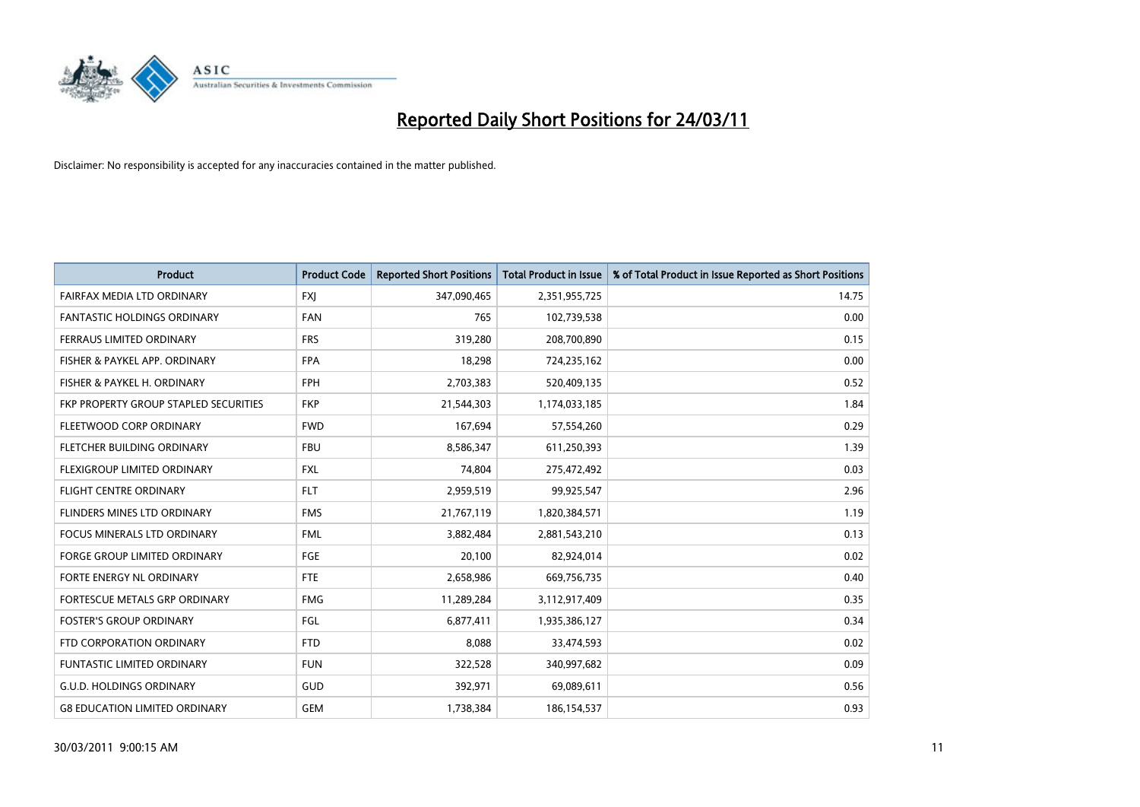

| Product                               | <b>Product Code</b> | <b>Reported Short Positions</b> | <b>Total Product in Issue</b> | % of Total Product in Issue Reported as Short Positions |
|---------------------------------------|---------------------|---------------------------------|-------------------------------|---------------------------------------------------------|
| FAIRFAX MEDIA LTD ORDINARY            | <b>FXJ</b>          | 347,090,465                     | 2,351,955,725                 | 14.75                                                   |
| FANTASTIC HOLDINGS ORDINARY           | <b>FAN</b>          | 765                             | 102,739,538                   | 0.00                                                    |
| FERRAUS LIMITED ORDINARY              | <b>FRS</b>          | 319,280                         | 208,700,890                   | 0.15                                                    |
| FISHER & PAYKEL APP. ORDINARY         | <b>FPA</b>          | 18,298                          | 724,235,162                   | 0.00                                                    |
| FISHER & PAYKEL H. ORDINARY           | <b>FPH</b>          | 2,703,383                       | 520,409,135                   | 0.52                                                    |
| FKP PROPERTY GROUP STAPLED SECURITIES | <b>FKP</b>          | 21,544,303                      | 1,174,033,185                 | 1.84                                                    |
| FLEETWOOD CORP ORDINARY               | <b>FWD</b>          | 167,694                         | 57,554,260                    | 0.29                                                    |
| FLETCHER BUILDING ORDINARY            | <b>FBU</b>          | 8,586,347                       | 611,250,393                   | 1.39                                                    |
| FLEXIGROUP LIMITED ORDINARY           | <b>FXL</b>          | 74,804                          | 275,472,492                   | 0.03                                                    |
| <b>FLIGHT CENTRE ORDINARY</b>         | <b>FLT</b>          | 2,959,519                       | 99,925,547                    | 2.96                                                    |
| FLINDERS MINES LTD ORDINARY           | <b>FMS</b>          | 21,767,119                      | 1,820,384,571                 | 1.19                                                    |
| FOCUS MINERALS LTD ORDINARY           | <b>FML</b>          | 3,882,484                       | 2,881,543,210                 | 0.13                                                    |
| <b>FORGE GROUP LIMITED ORDINARY</b>   | FGE                 | 20,100                          | 82,924,014                    | 0.02                                                    |
| FORTE ENERGY NL ORDINARY              | <b>FTE</b>          | 2,658,986                       | 669,756,735                   | 0.40                                                    |
| FORTESCUE METALS GRP ORDINARY         | <b>FMG</b>          | 11,289,284                      | 3,112,917,409                 | 0.35                                                    |
| <b>FOSTER'S GROUP ORDINARY</b>        | <b>FGL</b>          | 6,877,411                       | 1,935,386,127                 | 0.34                                                    |
| FTD CORPORATION ORDINARY              | <b>FTD</b>          | 8,088                           | 33,474,593                    | 0.02                                                    |
| <b>FUNTASTIC LIMITED ORDINARY</b>     | <b>FUN</b>          | 322,528                         | 340,997,682                   | 0.09                                                    |
| <b>G.U.D. HOLDINGS ORDINARY</b>       | GUD                 | 392,971                         | 69,089,611                    | 0.56                                                    |
| <b>G8 EDUCATION LIMITED ORDINARY</b>  | <b>GEM</b>          | 1,738,384                       | 186,154,537                   | 0.93                                                    |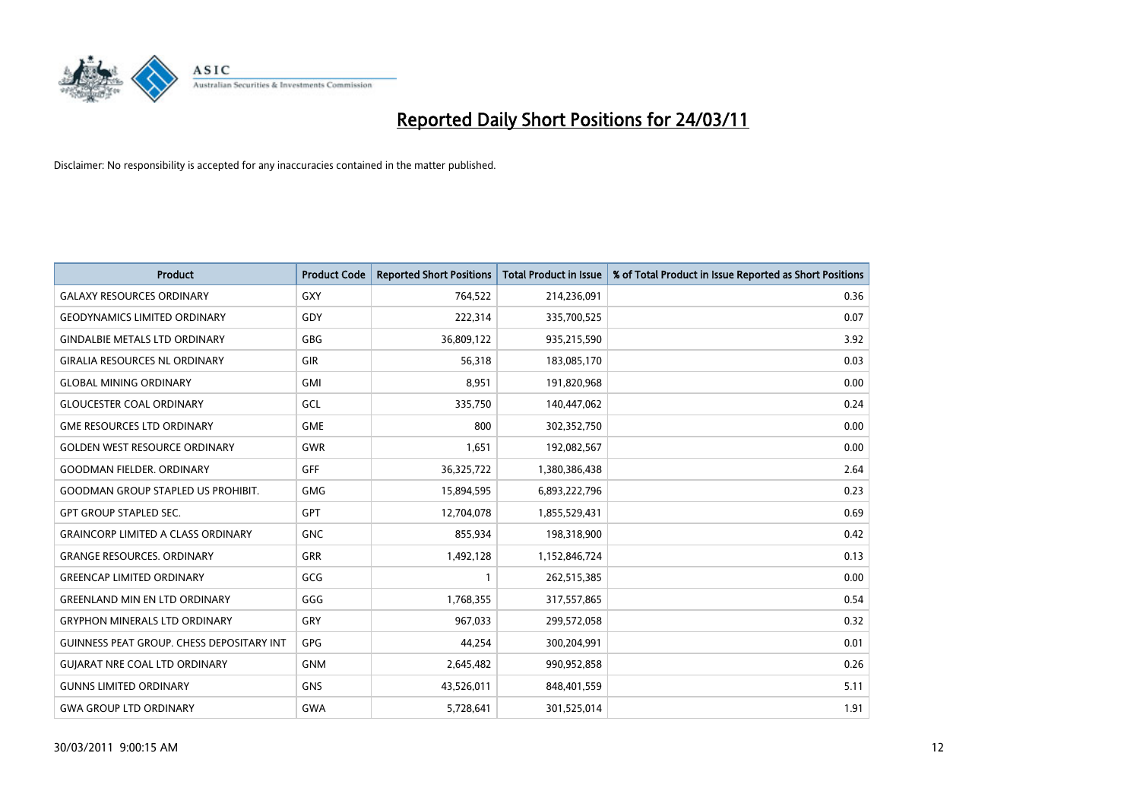

| <b>Product</b>                                   | <b>Product Code</b> | <b>Reported Short Positions</b> | <b>Total Product in Issue</b> | % of Total Product in Issue Reported as Short Positions |
|--------------------------------------------------|---------------------|---------------------------------|-------------------------------|---------------------------------------------------------|
| <b>GALAXY RESOURCES ORDINARY</b>                 | GXY                 | 764,522                         | 214,236,091                   | 0.36                                                    |
| <b>GEODYNAMICS LIMITED ORDINARY</b>              | GDY                 | 222,314                         | 335,700,525                   | 0.07                                                    |
| <b>GINDALBIE METALS LTD ORDINARY</b>             | <b>GBG</b>          | 36,809,122                      | 935,215,590                   | 3.92                                                    |
| <b>GIRALIA RESOURCES NL ORDINARY</b>             | GIR                 | 56,318                          | 183,085,170                   | 0.03                                                    |
| <b>GLOBAL MINING ORDINARY</b>                    | <b>GMI</b>          | 8,951                           | 191,820,968                   | 0.00                                                    |
| <b>GLOUCESTER COAL ORDINARY</b>                  | <b>GCL</b>          | 335,750                         | 140,447,062                   | 0.24                                                    |
| <b>GME RESOURCES LTD ORDINARY</b>                | <b>GME</b>          | 800                             | 302,352,750                   | 0.00                                                    |
| <b>GOLDEN WEST RESOURCE ORDINARY</b>             | <b>GWR</b>          | 1,651                           | 192,082,567                   | 0.00                                                    |
| GOODMAN FIELDER. ORDINARY                        | GFF                 | 36,325,722                      | 1,380,386,438                 | 2.64                                                    |
| <b>GOODMAN GROUP STAPLED US PROHIBIT.</b>        | <b>GMG</b>          | 15,894,595                      | 6,893,222,796                 | 0.23                                                    |
| <b>GPT GROUP STAPLED SEC.</b>                    | <b>GPT</b>          | 12,704,078                      | 1,855,529,431                 | 0.69                                                    |
| <b>GRAINCORP LIMITED A CLASS ORDINARY</b>        | <b>GNC</b>          | 855,934                         | 198,318,900                   | 0.42                                                    |
| <b>GRANGE RESOURCES. ORDINARY</b>                | GRR                 | 1,492,128                       | 1,152,846,724                 | 0.13                                                    |
| <b>GREENCAP LIMITED ORDINARY</b>                 | GCG                 |                                 | 262,515,385                   | 0.00                                                    |
| GREENLAND MIN EN LTD ORDINARY                    | GGG                 | 1,768,355                       | 317,557,865                   | 0.54                                                    |
| <b>GRYPHON MINERALS LTD ORDINARY</b>             | GRY                 | 967,033                         | 299,572,058                   | 0.32                                                    |
| <b>GUINNESS PEAT GROUP. CHESS DEPOSITARY INT</b> | <b>GPG</b>          | 44,254                          | 300,204,991                   | 0.01                                                    |
| <b>GUIARAT NRE COAL LTD ORDINARY</b>             | <b>GNM</b>          | 2,645,482                       | 990,952,858                   | 0.26                                                    |
| <b>GUNNS LIMITED ORDINARY</b>                    | <b>GNS</b>          | 43,526,011                      | 848,401,559                   | 5.11                                                    |
| <b>GWA GROUP LTD ORDINARY</b>                    | <b>GWA</b>          | 5,728,641                       | 301,525,014                   | 1.91                                                    |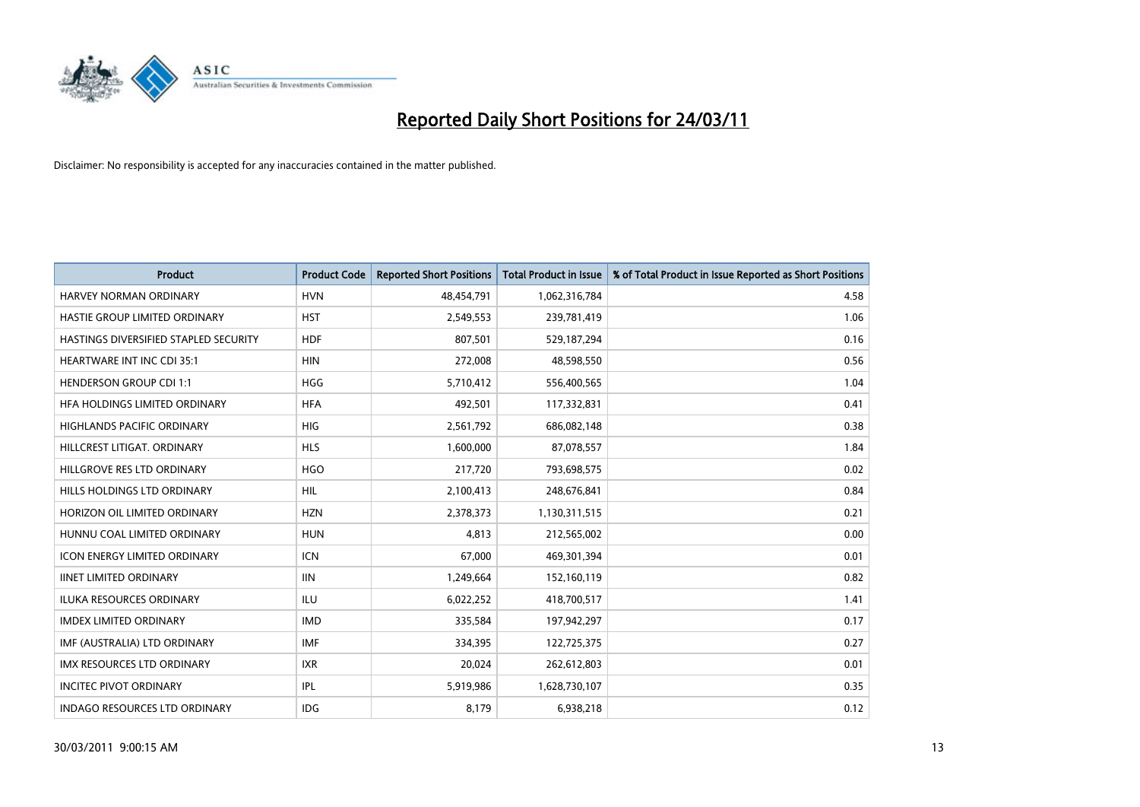

| Product                               | <b>Product Code</b> | <b>Reported Short Positions</b> | <b>Total Product in Issue</b> | % of Total Product in Issue Reported as Short Positions |
|---------------------------------------|---------------------|---------------------------------|-------------------------------|---------------------------------------------------------|
| <b>HARVEY NORMAN ORDINARY</b>         | <b>HVN</b>          | 48,454,791                      | 1,062,316,784                 | 4.58                                                    |
| HASTIE GROUP LIMITED ORDINARY         | <b>HST</b>          | 2,549,553                       | 239,781,419                   | 1.06                                                    |
| HASTINGS DIVERSIFIED STAPLED SECURITY | <b>HDF</b>          | 807,501                         | 529,187,294                   | 0.16                                                    |
| HEARTWARE INT INC CDI 35:1            | <b>HIN</b>          | 272,008                         | 48,598,550                    | 0.56                                                    |
| <b>HENDERSON GROUP CDI 1:1</b>        | <b>HGG</b>          | 5,710,412                       | 556,400,565                   | 1.04                                                    |
| HFA HOLDINGS LIMITED ORDINARY         | <b>HFA</b>          | 492,501                         | 117,332,831                   | 0.41                                                    |
| <b>HIGHLANDS PACIFIC ORDINARY</b>     | <b>HIG</b>          | 2,561,792                       | 686,082,148                   | 0.38                                                    |
| HILLCREST LITIGAT, ORDINARY           | <b>HLS</b>          | 1,600,000                       | 87,078,557                    | 1.84                                                    |
| HILLGROVE RES LTD ORDINARY            | <b>HGO</b>          | 217,720                         | 793,698,575                   | 0.02                                                    |
| HILLS HOLDINGS LTD ORDINARY           | <b>HIL</b>          | 2,100,413                       | 248,676,841                   | 0.84                                                    |
| HORIZON OIL LIMITED ORDINARY          | <b>HZN</b>          | 2,378,373                       | 1,130,311,515                 | 0.21                                                    |
| HUNNU COAL LIMITED ORDINARY           | <b>HUN</b>          | 4,813                           | 212,565,002                   | 0.00                                                    |
| <b>ICON ENERGY LIMITED ORDINARY</b>   | <b>ICN</b>          | 67,000                          | 469,301,394                   | 0.01                                                    |
| <b>IINET LIMITED ORDINARY</b>         | <b>IIN</b>          | 1,249,664                       | 152,160,119                   | 0.82                                                    |
| <b>ILUKA RESOURCES ORDINARY</b>       | ILU                 | 6,022,252                       | 418,700,517                   | 1.41                                                    |
| <b>IMDEX LIMITED ORDINARY</b>         | <b>IMD</b>          | 335,584                         | 197,942,297                   | 0.17                                                    |
| IMF (AUSTRALIA) LTD ORDINARY          | <b>IMF</b>          | 334,395                         | 122,725,375                   | 0.27                                                    |
| IMX RESOURCES LTD ORDINARY            | <b>IXR</b>          | 20,024                          | 262,612,803                   | 0.01                                                    |
| <b>INCITEC PIVOT ORDINARY</b>         | IPL                 | 5,919,986                       | 1,628,730,107                 | 0.35                                                    |
| <b>INDAGO RESOURCES LTD ORDINARY</b>  | <b>IDG</b>          | 8,179                           | 6,938,218                     | 0.12                                                    |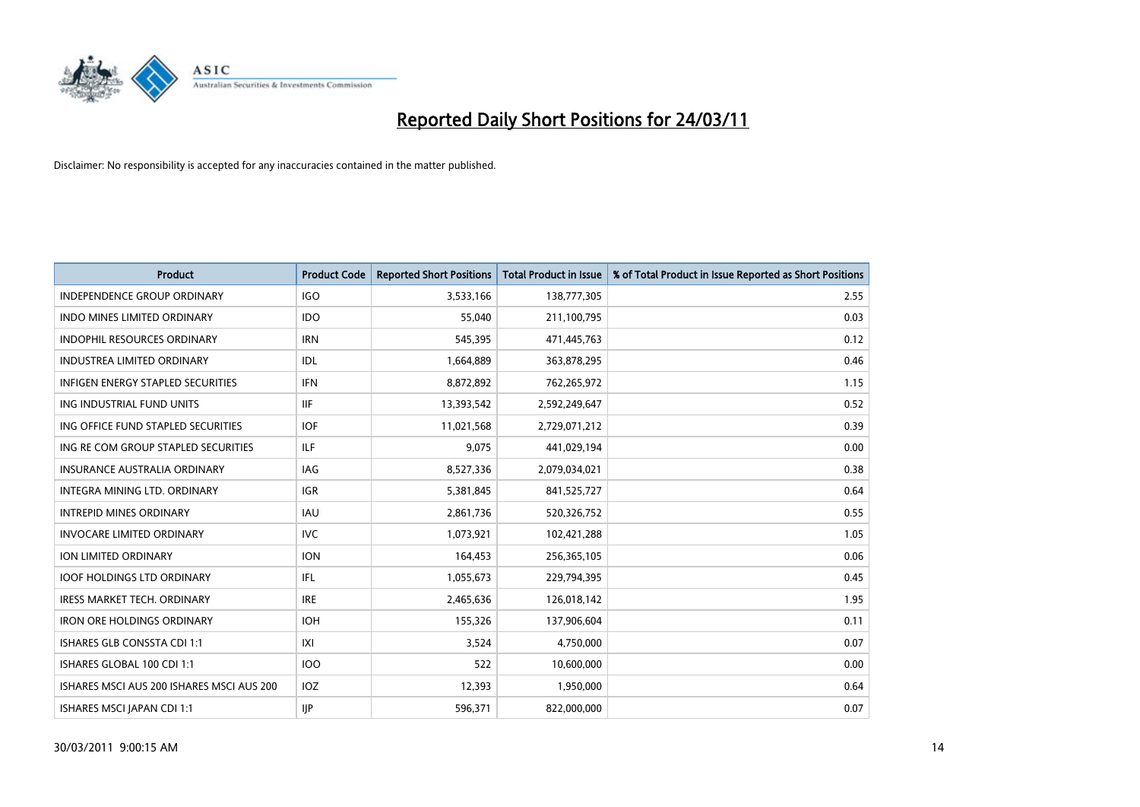

| Product                                   | <b>Product Code</b> | <b>Reported Short Positions</b> | <b>Total Product in Issue</b> | % of Total Product in Issue Reported as Short Positions |
|-------------------------------------------|---------------------|---------------------------------|-------------------------------|---------------------------------------------------------|
| <b>INDEPENDENCE GROUP ORDINARY</b>        | <b>IGO</b>          | 3,533,166                       | 138,777,305                   | 2.55                                                    |
| INDO MINES LIMITED ORDINARY               | <b>IDO</b>          | 55,040                          | 211,100,795                   | 0.03                                                    |
| INDOPHIL RESOURCES ORDINARY               | <b>IRN</b>          | 545,395                         | 471,445,763                   | 0.12                                                    |
| <b>INDUSTREA LIMITED ORDINARY</b>         | IDL                 | 1,664,889                       | 363,878,295                   | 0.46                                                    |
| <b>INFIGEN ENERGY STAPLED SECURITIES</b>  | <b>IFN</b>          | 8,872,892                       | 762,265,972                   | 1.15                                                    |
| ING INDUSTRIAL FUND UNITS                 | <b>IIF</b>          | 13,393,542                      | 2,592,249,647                 | 0.52                                                    |
| ING OFFICE FUND STAPLED SECURITIES        | <b>IOF</b>          | 11,021,568                      | 2,729,071,212                 | 0.39                                                    |
| ING RE COM GROUP STAPLED SECURITIES       | ILF.                | 9,075                           | 441,029,194                   | 0.00                                                    |
| <b>INSURANCE AUSTRALIA ORDINARY</b>       | IAG                 | 8,527,336                       | 2,079,034,021                 | 0.38                                                    |
| INTEGRA MINING LTD. ORDINARY              | <b>IGR</b>          | 5,381,845                       | 841,525,727                   | 0.64                                                    |
| <b>INTREPID MINES ORDINARY</b>            | <b>IAU</b>          | 2,861,736                       | 520,326,752                   | 0.55                                                    |
| <b>INVOCARE LIMITED ORDINARY</b>          | <b>IVC</b>          | 1,073,921                       | 102,421,288                   | 1.05                                                    |
| ION LIMITED ORDINARY                      | <b>ION</b>          | 164,453                         | 256,365,105                   | 0.06                                                    |
| <b>IOOF HOLDINGS LTD ORDINARY</b>         | IFL.                | 1,055,673                       | 229,794,395                   | 0.45                                                    |
| <b>IRESS MARKET TECH. ORDINARY</b>        | <b>IRE</b>          | 2,465,636                       | 126,018,142                   | 1.95                                                    |
| <b>IRON ORE HOLDINGS ORDINARY</b>         | <b>IOH</b>          | 155,326                         | 137,906,604                   | 0.11                                                    |
| ISHARES GLB CONSSTA CDI 1:1               | X                   | 3,524                           | 4,750,000                     | 0.07                                                    |
| ISHARES GLOBAL 100 CDI 1:1                | <b>IOO</b>          | 522                             | 10,600,000                    | 0.00                                                    |
| ISHARES MSCI AUS 200 ISHARES MSCI AUS 200 | IOZ                 | 12,393                          | 1,950,000                     | 0.64                                                    |
| ISHARES MSCI JAPAN CDI 1:1                | IJP                 | 596,371                         | 822,000,000                   | 0.07                                                    |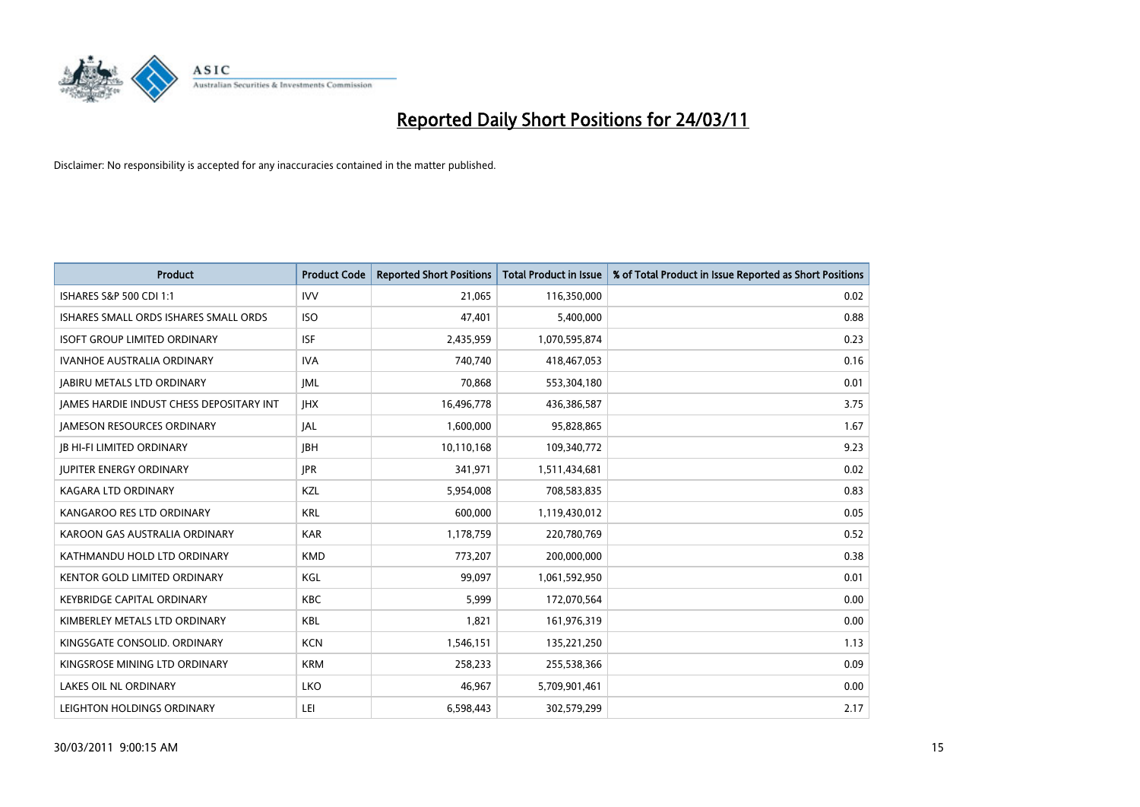

| <b>Product</b>                                  | <b>Product Code</b> | <b>Reported Short Positions</b> | Total Product in Issue | % of Total Product in Issue Reported as Short Positions |
|-------------------------------------------------|---------------------|---------------------------------|------------------------|---------------------------------------------------------|
| ISHARES S&P 500 CDI 1:1                         | <b>IVV</b>          | 21,065                          | 116,350,000            | 0.02                                                    |
| ISHARES SMALL ORDS ISHARES SMALL ORDS           | <b>ISO</b>          | 47,401                          | 5,400,000              | 0.88                                                    |
| <b>ISOFT GROUP LIMITED ORDINARY</b>             | <b>ISF</b>          | 2,435,959                       | 1,070,595,874          | 0.23                                                    |
| IVANHOE AUSTRALIA ORDINARY                      | <b>IVA</b>          | 740,740                         | 418,467,053            | 0.16                                                    |
| <b>JABIRU METALS LTD ORDINARY</b>               | <b>JML</b>          | 70,868                          | 553,304,180            | 0.01                                                    |
| <b>IAMES HARDIE INDUST CHESS DEPOSITARY INT</b> | <b>IHX</b>          | 16,496,778                      | 436,386,587            | 3.75                                                    |
| <b>JAMESON RESOURCES ORDINARY</b>               | JAL                 | 1,600,000                       | 95,828,865             | 1.67                                                    |
| <b>IB HI-FI LIMITED ORDINARY</b>                | <b>IBH</b>          | 10,110,168                      | 109,340,772            | 9.23                                                    |
| <b>JUPITER ENERGY ORDINARY</b>                  | <b>JPR</b>          | 341,971                         | 1,511,434,681          | 0.02                                                    |
| <b>KAGARA LTD ORDINARY</b>                      | KZL                 | 5,954,008                       | 708,583,835            | 0.83                                                    |
| KANGAROO RES LTD ORDINARY                       | <b>KRL</b>          | 600,000                         | 1,119,430,012          | 0.05                                                    |
| KAROON GAS AUSTRALIA ORDINARY                   | <b>KAR</b>          | 1,178,759                       | 220,780,769            | 0.52                                                    |
| KATHMANDU HOLD LTD ORDINARY                     | <b>KMD</b>          | 773,207                         | 200,000,000            | 0.38                                                    |
| <b>KENTOR GOLD LIMITED ORDINARY</b>             | KGL                 | 99.097                          | 1,061,592,950          | 0.01                                                    |
| <b>KEYBRIDGE CAPITAL ORDINARY</b>               | <b>KBC</b>          | 5,999                           | 172,070,564            | 0.00                                                    |
| KIMBERLEY METALS LTD ORDINARY                   | <b>KBL</b>          | 1,821                           | 161,976,319            | 0.00                                                    |
| KINGSGATE CONSOLID, ORDINARY                    | <b>KCN</b>          | 1,546,151                       | 135,221,250            | 1.13                                                    |
| KINGSROSE MINING LTD ORDINARY                   | <b>KRM</b>          | 258,233                         | 255,538,366            | 0.09                                                    |
| <b>LAKES OIL NL ORDINARY</b>                    | LKO                 | 46,967                          | 5,709,901,461          | 0.00                                                    |
| LEIGHTON HOLDINGS ORDINARY                      | LEI                 | 6,598,443                       | 302,579,299            | 2.17                                                    |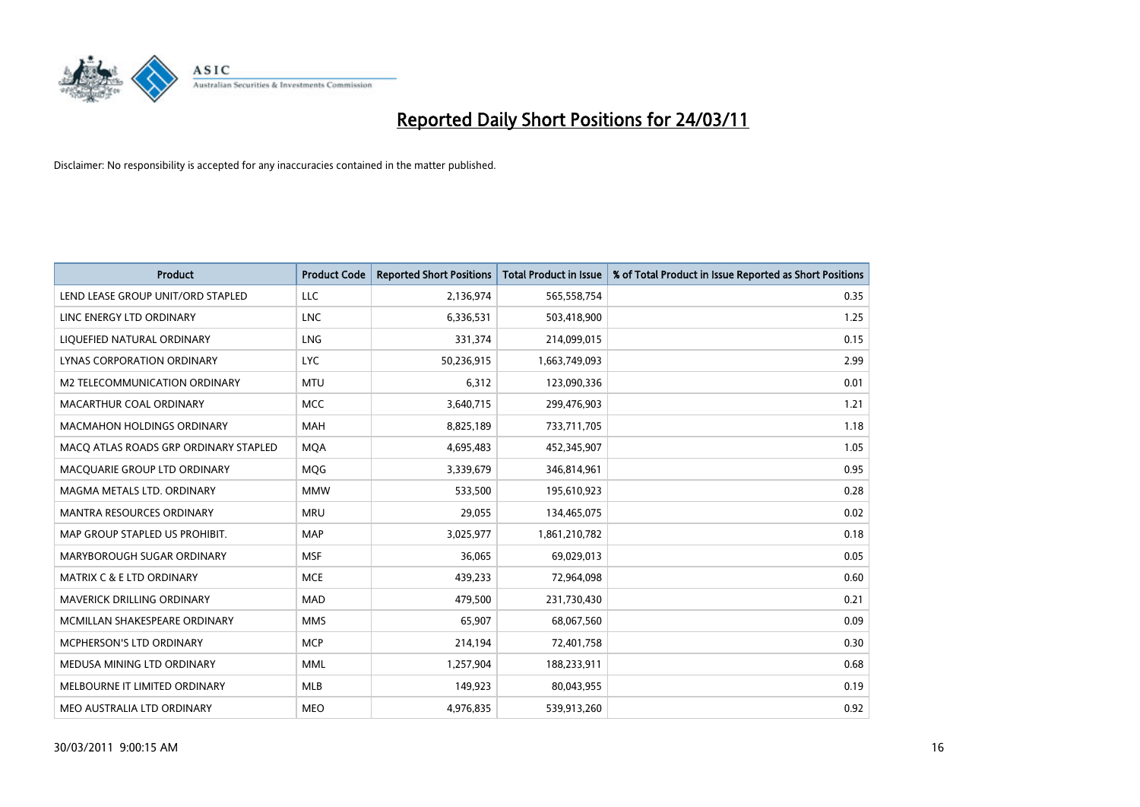

| <b>Product</b>                        | <b>Product Code</b> | <b>Reported Short Positions</b> | <b>Total Product in Issue</b> | % of Total Product in Issue Reported as Short Positions |
|---------------------------------------|---------------------|---------------------------------|-------------------------------|---------------------------------------------------------|
| LEND LEASE GROUP UNIT/ORD STAPLED     | <b>LLC</b>          | 2,136,974                       | 565,558,754                   | 0.35                                                    |
| LINC ENERGY LTD ORDINARY              | <b>LNC</b>          | 6,336,531                       | 503,418,900                   | 1.25                                                    |
| LIQUEFIED NATURAL ORDINARY            | <b>LNG</b>          | 331,374                         | 214,099,015                   | 0.15                                                    |
| <b>LYNAS CORPORATION ORDINARY</b>     | <b>LYC</b>          | 50,236,915                      | 1,663,749,093                 | 2.99                                                    |
| M2 TELECOMMUNICATION ORDINARY         | <b>MTU</b>          | 6,312                           | 123,090,336                   | 0.01                                                    |
| MACARTHUR COAL ORDINARY               | <b>MCC</b>          | 3,640,715                       | 299,476,903                   | 1.21                                                    |
| <b>MACMAHON HOLDINGS ORDINARY</b>     | <b>MAH</b>          | 8,825,189                       | 733,711,705                   | 1.18                                                    |
| MACO ATLAS ROADS GRP ORDINARY STAPLED | <b>MQA</b>          | 4,695,483                       | 452,345,907                   | 1.05                                                    |
| MACQUARIE GROUP LTD ORDINARY          | <b>MOG</b>          | 3,339,679                       | 346,814,961                   | 0.95                                                    |
| MAGMA METALS LTD. ORDINARY            | <b>MMW</b>          | 533,500                         | 195,610,923                   | 0.28                                                    |
| MANTRA RESOURCES ORDINARY             | <b>MRU</b>          | 29,055                          | 134,465,075                   | 0.02                                                    |
| MAP GROUP STAPLED US PROHIBIT.        | <b>MAP</b>          | 3,025,977                       | 1,861,210,782                 | 0.18                                                    |
| MARYBOROUGH SUGAR ORDINARY            | <b>MSF</b>          | 36,065                          | 69,029,013                    | 0.05                                                    |
| <b>MATRIX C &amp; E LTD ORDINARY</b>  | <b>MCE</b>          | 439,233                         | 72,964,098                    | 0.60                                                    |
| MAVERICK DRILLING ORDINARY            | <b>MAD</b>          | 479,500                         | 231,730,430                   | 0.21                                                    |
| MCMILLAN SHAKESPEARE ORDINARY         | <b>MMS</b>          | 65,907                          | 68,067,560                    | 0.09                                                    |
| <b>MCPHERSON'S LTD ORDINARY</b>       | <b>MCP</b>          | 214,194                         | 72,401,758                    | 0.30                                                    |
| MEDUSA MINING LTD ORDINARY            | <b>MML</b>          | 1,257,904                       | 188,233,911                   | 0.68                                                    |
| MELBOURNE IT LIMITED ORDINARY         | <b>MLB</b>          | 149,923                         | 80,043,955                    | 0.19                                                    |
| MEO AUSTRALIA LTD ORDINARY            | <b>MEO</b>          | 4,976,835                       | 539,913,260                   | 0.92                                                    |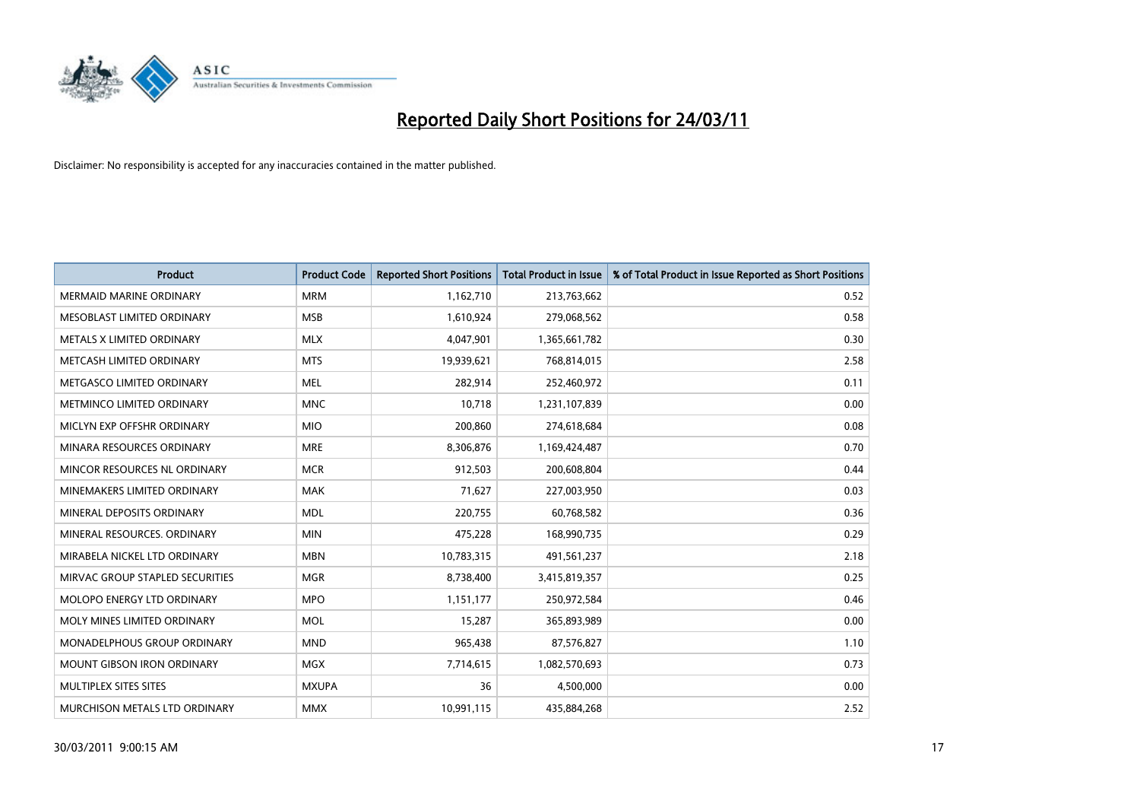

| <b>Product</b>                     | <b>Product Code</b> | <b>Reported Short Positions</b> | <b>Total Product in Issue</b> | % of Total Product in Issue Reported as Short Positions |
|------------------------------------|---------------------|---------------------------------|-------------------------------|---------------------------------------------------------|
| <b>MERMAID MARINE ORDINARY</b>     | <b>MRM</b>          | 1,162,710                       | 213,763,662                   | 0.52                                                    |
| MESOBLAST LIMITED ORDINARY         | <b>MSB</b>          | 1,610,924                       | 279,068,562                   | 0.58                                                    |
| METALS X LIMITED ORDINARY          | <b>MLX</b>          | 4,047,901                       | 1,365,661,782                 | 0.30                                                    |
| METCASH LIMITED ORDINARY           | <b>MTS</b>          | 19,939,621                      | 768,814,015                   | 2.58                                                    |
| METGASCO LIMITED ORDINARY          | <b>MEL</b>          | 282,914                         | 252,460,972                   | 0.11                                                    |
| METMINCO LIMITED ORDINARY          | <b>MNC</b>          | 10,718                          | 1,231,107,839                 | 0.00                                                    |
| MICLYN EXP OFFSHR ORDINARY         | <b>MIO</b>          | 200,860                         | 274,618,684                   | 0.08                                                    |
| MINARA RESOURCES ORDINARY          | <b>MRE</b>          | 8,306,876                       | 1,169,424,487                 | 0.70                                                    |
| MINCOR RESOURCES NL ORDINARY       | <b>MCR</b>          | 912,503                         | 200,608,804                   | 0.44                                                    |
| MINEMAKERS LIMITED ORDINARY        | <b>MAK</b>          | 71,627                          | 227,003,950                   | 0.03                                                    |
| MINERAL DEPOSITS ORDINARY          | <b>MDL</b>          | 220,755                         | 60,768,582                    | 0.36                                                    |
| MINERAL RESOURCES, ORDINARY        | <b>MIN</b>          | 475,228                         | 168,990,735                   | 0.29                                                    |
| MIRABELA NICKEL LTD ORDINARY       | <b>MBN</b>          | 10,783,315                      | 491,561,237                   | 2.18                                                    |
| MIRVAC GROUP STAPLED SECURITIES    | <b>MGR</b>          | 8,738,400                       | 3,415,819,357                 | 0.25                                                    |
| MOLOPO ENERGY LTD ORDINARY         | <b>MPO</b>          | 1,151,177                       | 250,972,584                   | 0.46                                                    |
| MOLY MINES LIMITED ORDINARY        | <b>MOL</b>          | 15,287                          | 365,893,989                   | 0.00                                                    |
| <b>MONADELPHOUS GROUP ORDINARY</b> | <b>MND</b>          | 965,438                         | 87,576,827                    | 1.10                                                    |
| MOUNT GIBSON IRON ORDINARY         | <b>MGX</b>          | 7,714,615                       | 1,082,570,693                 | 0.73                                                    |
| MULTIPLEX SITES SITES              | <b>MXUPA</b>        | 36                              | 4,500,000                     | 0.00                                                    |
| MURCHISON METALS LTD ORDINARY      | <b>MMX</b>          | 10,991,115                      | 435,884,268                   | 2.52                                                    |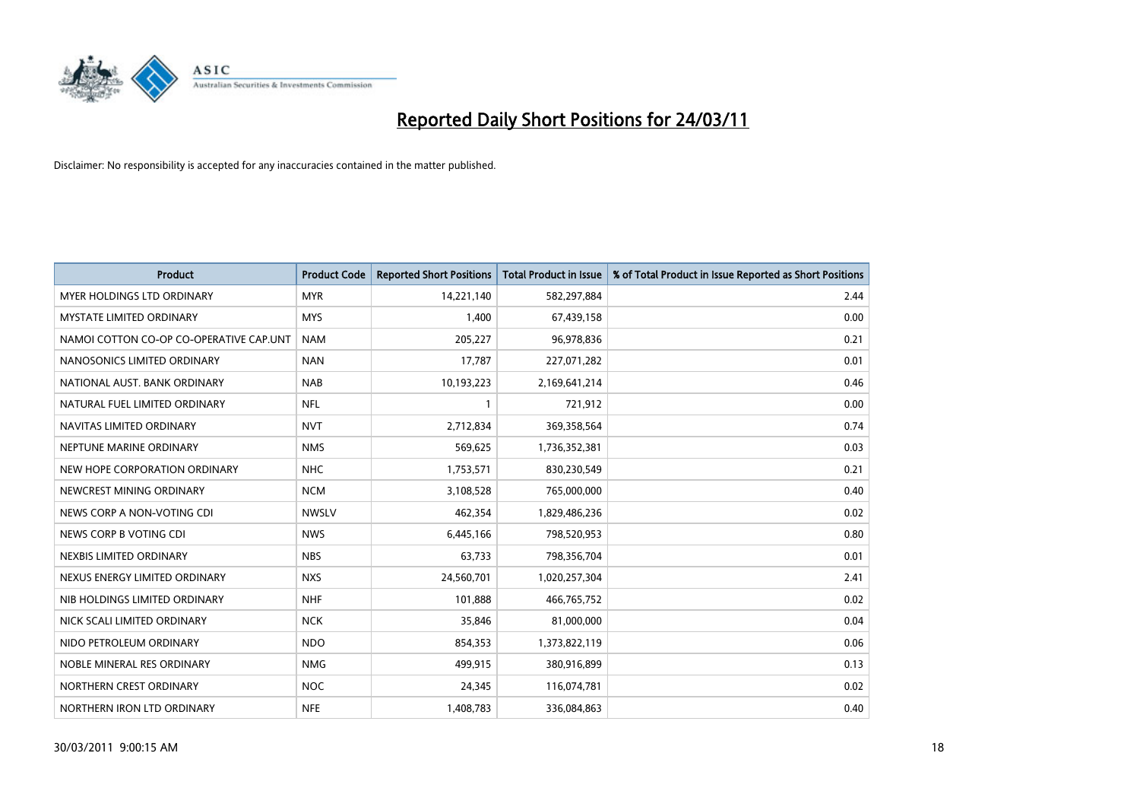

| <b>Product</b>                          | <b>Product Code</b> | <b>Reported Short Positions</b> | Total Product in Issue | % of Total Product in Issue Reported as Short Positions |
|-----------------------------------------|---------------------|---------------------------------|------------------------|---------------------------------------------------------|
| MYER HOLDINGS LTD ORDINARY              | <b>MYR</b>          | 14,221,140                      | 582,297,884            | 2.44                                                    |
| MYSTATE LIMITED ORDINARY                | <b>MYS</b>          | 1,400                           | 67,439,158             | 0.00                                                    |
| NAMOI COTTON CO-OP CO-OPERATIVE CAP.UNT | <b>NAM</b>          | 205,227                         | 96,978,836             | 0.21                                                    |
| NANOSONICS LIMITED ORDINARY             | <b>NAN</b>          | 17,787                          | 227,071,282            | 0.01                                                    |
| NATIONAL AUST, BANK ORDINARY            | <b>NAB</b>          | 10,193,223                      | 2,169,641,214          | 0.46                                                    |
| NATURAL FUEL LIMITED ORDINARY           | <b>NFL</b>          |                                 | 721,912                | 0.00                                                    |
| NAVITAS LIMITED ORDINARY                | <b>NVT</b>          | 2,712,834                       | 369,358,564            | 0.74                                                    |
| NEPTUNE MARINE ORDINARY                 | <b>NMS</b>          | 569,625                         | 1,736,352,381          | 0.03                                                    |
| NEW HOPE CORPORATION ORDINARY           | <b>NHC</b>          | 1,753,571                       | 830,230,549            | 0.21                                                    |
| NEWCREST MINING ORDINARY                | <b>NCM</b>          | 3,108,528                       | 765,000,000            | 0.40                                                    |
| NEWS CORP A NON-VOTING CDI              | <b>NWSLV</b>        | 462,354                         | 1,829,486,236          | 0.02                                                    |
| NEWS CORP B VOTING CDI                  | <b>NWS</b>          | 6,445,166                       | 798,520,953            | 0.80                                                    |
| NEXBIS LIMITED ORDINARY                 | <b>NBS</b>          | 63,733                          | 798,356,704            | 0.01                                                    |
| NEXUS ENERGY LIMITED ORDINARY           | <b>NXS</b>          | 24,560,701                      | 1,020,257,304          | 2.41                                                    |
| NIB HOLDINGS LIMITED ORDINARY           | <b>NHF</b>          | 101,888                         | 466,765,752            | 0.02                                                    |
| NICK SCALI LIMITED ORDINARY             | <b>NCK</b>          | 35,846                          | 81,000,000             | 0.04                                                    |
| NIDO PETROLEUM ORDINARY                 | <b>NDO</b>          | 854,353                         | 1,373,822,119          | 0.06                                                    |
| NOBLE MINERAL RES ORDINARY              | <b>NMG</b>          | 499,915                         | 380,916,899            | 0.13                                                    |
| NORTHERN CREST ORDINARY                 | <b>NOC</b>          | 24,345                          | 116,074,781            | 0.02                                                    |
| NORTHERN IRON LTD ORDINARY              | <b>NFE</b>          | 1,408,783                       | 336,084,863            | 0.40                                                    |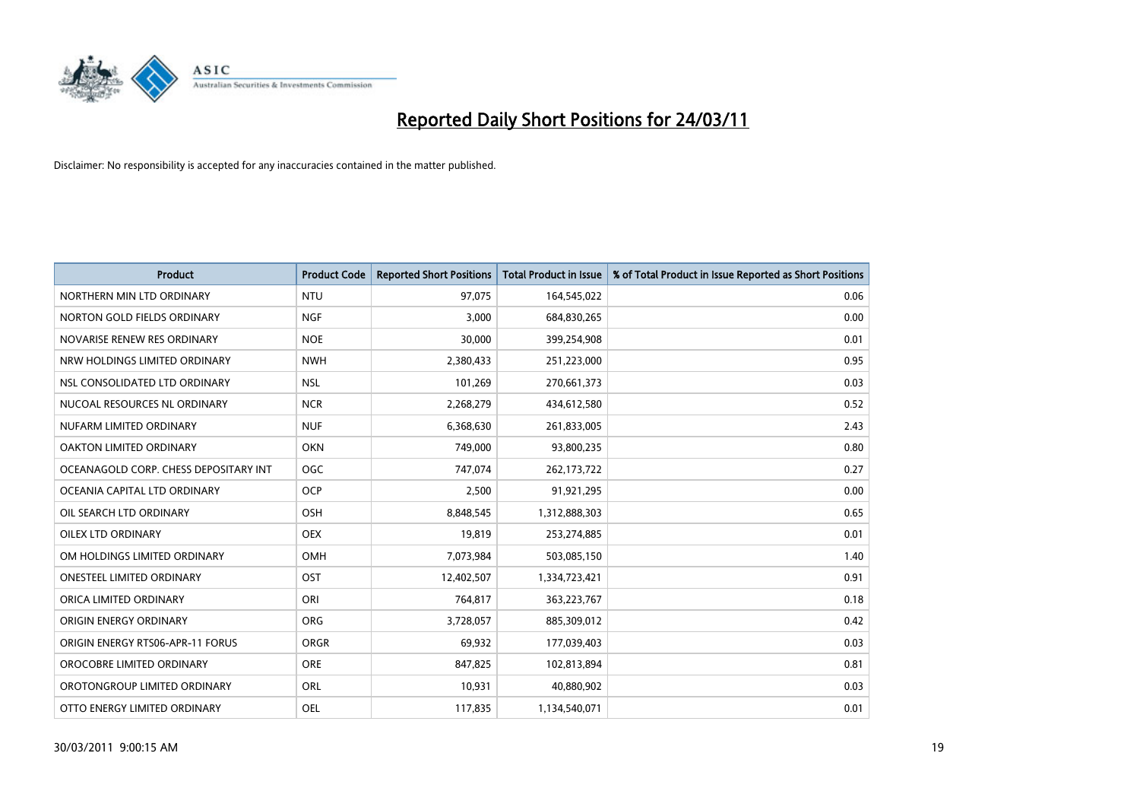

| <b>Product</b>                        | <b>Product Code</b> | <b>Reported Short Positions</b> | <b>Total Product in Issue</b> | % of Total Product in Issue Reported as Short Positions |
|---------------------------------------|---------------------|---------------------------------|-------------------------------|---------------------------------------------------------|
| NORTHERN MIN LTD ORDINARY             | <b>NTU</b>          | 97,075                          | 164,545,022                   | 0.06                                                    |
| NORTON GOLD FIELDS ORDINARY           | <b>NGF</b>          | 3,000                           | 684,830,265                   | 0.00                                                    |
| NOVARISE RENEW RES ORDINARY           | <b>NOE</b>          | 30,000                          | 399,254,908                   | 0.01                                                    |
| NRW HOLDINGS LIMITED ORDINARY         | <b>NWH</b>          | 2,380,433                       | 251,223,000                   | 0.95                                                    |
| NSL CONSOLIDATED LTD ORDINARY         | <b>NSL</b>          | 101,269                         | 270,661,373                   | 0.03                                                    |
| NUCOAL RESOURCES NL ORDINARY          | <b>NCR</b>          | 2,268,279                       | 434,612,580                   | 0.52                                                    |
| NUFARM LIMITED ORDINARY               | <b>NUF</b>          | 6,368,630                       | 261,833,005                   | 2.43                                                    |
| OAKTON LIMITED ORDINARY               | <b>OKN</b>          | 749,000                         | 93,800,235                    | 0.80                                                    |
| OCEANAGOLD CORP. CHESS DEPOSITARY INT | <b>OGC</b>          | 747,074                         | 262,173,722                   | 0.27                                                    |
| OCEANIA CAPITAL LTD ORDINARY          | <b>OCP</b>          | 2,500                           | 91,921,295                    | 0.00                                                    |
| OIL SEARCH LTD ORDINARY               | OSH                 | 8,848,545                       | 1,312,888,303                 | 0.65                                                    |
| <b>OILEX LTD ORDINARY</b>             | <b>OEX</b>          | 19,819                          | 253,274,885                   | 0.01                                                    |
| OM HOLDINGS LIMITED ORDINARY          | OMH                 | 7,073,984                       | 503,085,150                   | 1.40                                                    |
| <b>ONESTEEL LIMITED ORDINARY</b>      | OST                 | 12,402,507                      | 1,334,723,421                 | 0.91                                                    |
| ORICA LIMITED ORDINARY                | ORI                 | 764,817                         | 363,223,767                   | 0.18                                                    |
| ORIGIN ENERGY ORDINARY                | <b>ORG</b>          | 3,728,057                       | 885,309,012                   | 0.42                                                    |
| ORIGIN ENERGY RTS06-APR-11 FORUS      | <b>ORGR</b>         | 69,932                          | 177,039,403                   | 0.03                                                    |
| OROCOBRE LIMITED ORDINARY             | <b>ORE</b>          | 847,825                         | 102,813,894                   | 0.81                                                    |
| OROTONGROUP LIMITED ORDINARY          | <b>ORL</b>          | 10,931                          | 40,880,902                    | 0.03                                                    |
| OTTO ENERGY LIMITED ORDINARY          | <b>OEL</b>          | 117,835                         | 1,134,540,071                 | 0.01                                                    |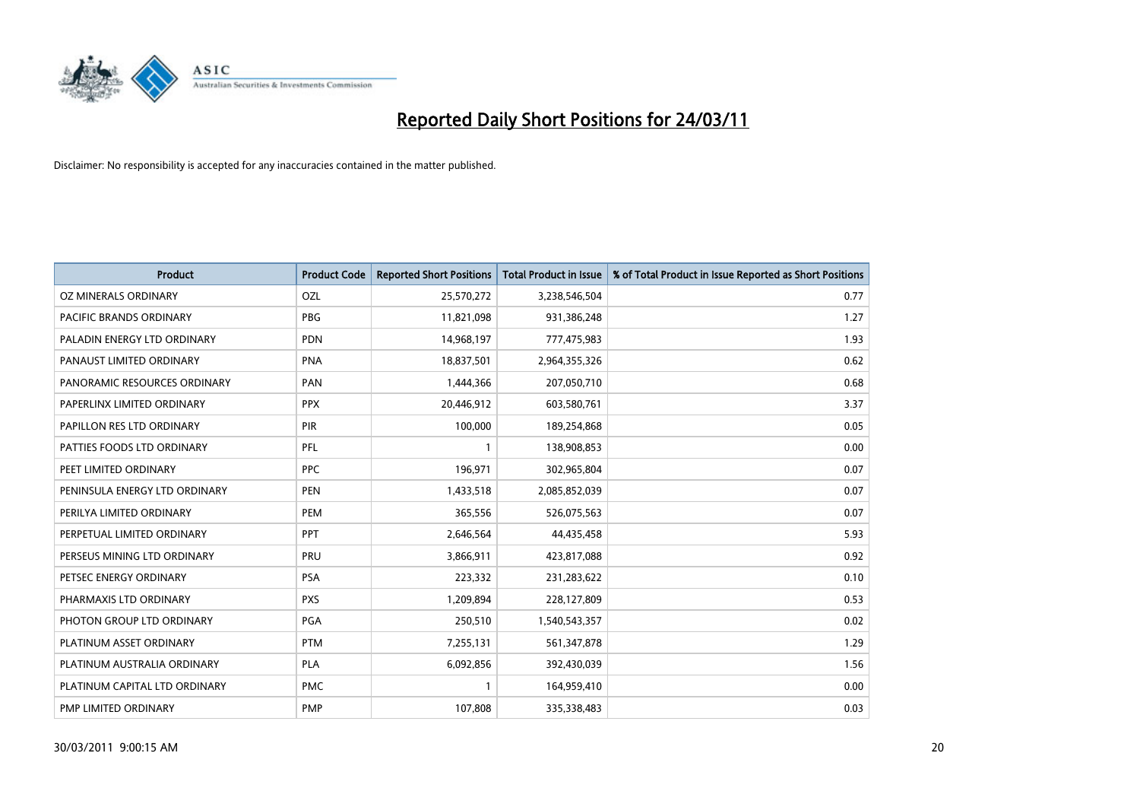

| Product                          | <b>Product Code</b> | <b>Reported Short Positions</b> | <b>Total Product in Issue</b> | % of Total Product in Issue Reported as Short Positions |
|----------------------------------|---------------------|---------------------------------|-------------------------------|---------------------------------------------------------|
| <b>OZ MINERALS ORDINARY</b>      | OZL                 | 25,570,272                      | 3,238,546,504                 | 0.77                                                    |
| PACIFIC BRANDS ORDINARY          | <b>PBG</b>          | 11,821,098                      | 931,386,248                   | 1.27                                                    |
| PALADIN ENERGY LTD ORDINARY      | <b>PDN</b>          | 14,968,197                      | 777,475,983                   | 1.93                                                    |
| PANAUST LIMITED ORDINARY         | <b>PNA</b>          | 18,837,501                      | 2,964,355,326                 | 0.62                                                    |
| PANORAMIC RESOURCES ORDINARY     | PAN                 | 1,444,366                       | 207,050,710                   | 0.68                                                    |
| PAPERLINX LIMITED ORDINARY       | <b>PPX</b>          | 20,446,912                      | 603,580,761                   | 3.37                                                    |
| <b>PAPILLON RES LTD ORDINARY</b> | PIR                 | 100,000                         | 189,254,868                   | 0.05                                                    |
| PATTIES FOODS LTD ORDINARY       | PFL                 |                                 | 138,908,853                   | 0.00                                                    |
| PEET LIMITED ORDINARY            | <b>PPC</b>          | 196,971                         | 302,965,804                   | 0.07                                                    |
| PENINSULA ENERGY LTD ORDINARY    | <b>PEN</b>          | 1,433,518                       | 2,085,852,039                 | 0.07                                                    |
| PERILYA LIMITED ORDINARY         | PEM                 | 365,556                         | 526,075,563                   | 0.07                                                    |
| PERPETUAL LIMITED ORDINARY       | <b>PPT</b>          | 2,646,564                       | 44,435,458                    | 5.93                                                    |
| PERSEUS MINING LTD ORDINARY      | PRU                 | 3,866,911                       | 423,817,088                   | 0.92                                                    |
| PETSEC ENERGY ORDINARY           | <b>PSA</b>          | 223,332                         | 231,283,622                   | 0.10                                                    |
| PHARMAXIS LTD ORDINARY           | <b>PXS</b>          | 1,209,894                       | 228,127,809                   | 0.53                                                    |
| PHOTON GROUP LTD ORDINARY        | PGA                 | 250,510                         | 1,540,543,357                 | 0.02                                                    |
| PLATINUM ASSET ORDINARY          | <b>PTM</b>          | 7,255,131                       | 561,347,878                   | 1.29                                                    |
| PLATINUM AUSTRALIA ORDINARY      | <b>PLA</b>          | 6,092,856                       | 392,430,039                   | 1.56                                                    |
| PLATINUM CAPITAL LTD ORDINARY    | <b>PMC</b>          |                                 | 164,959,410                   | 0.00                                                    |
| PMP LIMITED ORDINARY             | <b>PMP</b>          | 107,808                         | 335,338,483                   | 0.03                                                    |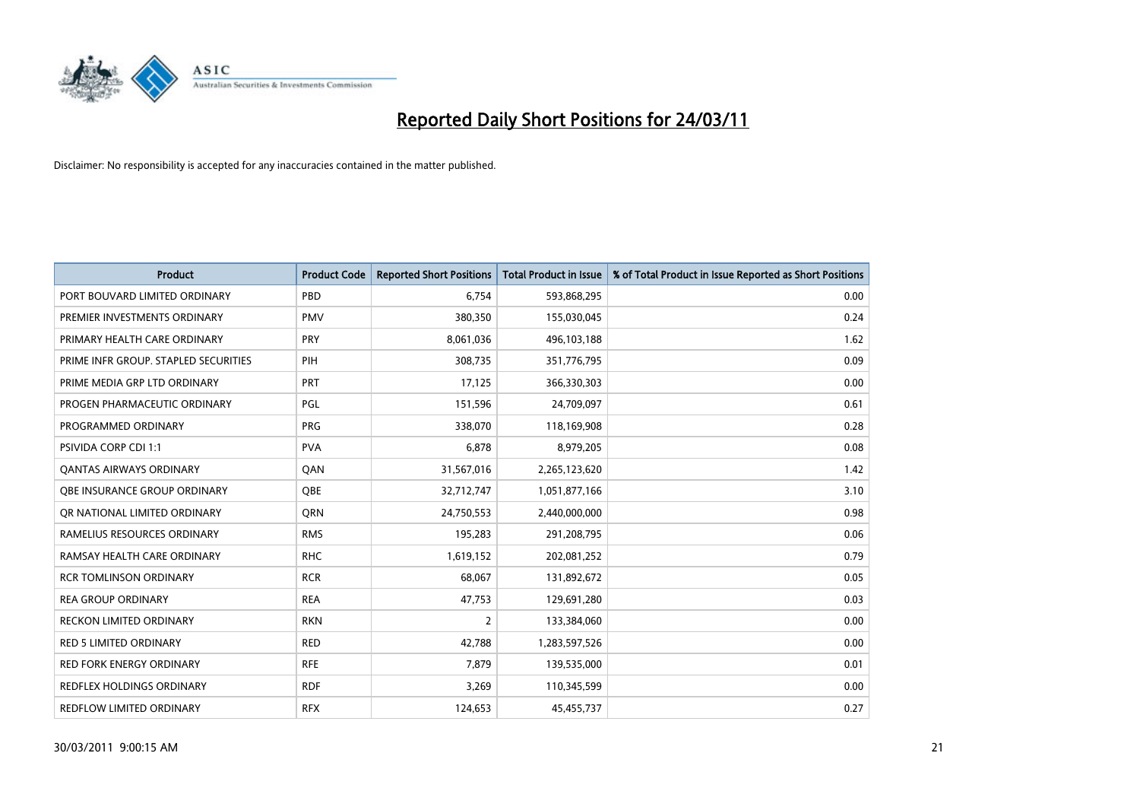

| <b>Product</b>                       | <b>Product Code</b> | <b>Reported Short Positions</b> | <b>Total Product in Issue</b> | % of Total Product in Issue Reported as Short Positions |
|--------------------------------------|---------------------|---------------------------------|-------------------------------|---------------------------------------------------------|
| PORT BOUVARD LIMITED ORDINARY        | PBD                 | 6,754                           | 593,868,295                   | 0.00                                                    |
| PREMIER INVESTMENTS ORDINARY         | <b>PMV</b>          | 380,350                         | 155,030,045                   | 0.24                                                    |
| PRIMARY HEALTH CARE ORDINARY         | <b>PRY</b>          | 8,061,036                       | 496,103,188                   | 1.62                                                    |
| PRIME INFR GROUP. STAPLED SECURITIES | PIH                 | 308,735                         | 351,776,795                   | 0.09                                                    |
| PRIME MEDIA GRP LTD ORDINARY         | PRT                 | 17,125                          | 366,330,303                   | 0.00                                                    |
| PROGEN PHARMACEUTIC ORDINARY         | PGL                 | 151,596                         | 24,709,097                    | 0.61                                                    |
| PROGRAMMED ORDINARY                  | <b>PRG</b>          | 338,070                         | 118,169,908                   | 0.28                                                    |
| <b>PSIVIDA CORP CDI 1:1</b>          | <b>PVA</b>          | 6,878                           | 8,979,205                     | 0.08                                                    |
| <b>QANTAS AIRWAYS ORDINARY</b>       | QAN                 | 31,567,016                      | 2,265,123,620                 | 1.42                                                    |
| OBE INSURANCE GROUP ORDINARY         | <b>OBE</b>          | 32,712,747                      | 1,051,877,166                 | 3.10                                                    |
| OR NATIONAL LIMITED ORDINARY         | <b>ORN</b>          | 24,750,553                      | 2,440,000,000                 | 0.98                                                    |
| RAMELIUS RESOURCES ORDINARY          | <b>RMS</b>          | 195,283                         | 291,208,795                   | 0.06                                                    |
| RAMSAY HEALTH CARE ORDINARY          | <b>RHC</b>          | 1,619,152                       | 202,081,252                   | 0.79                                                    |
| <b>RCR TOMLINSON ORDINARY</b>        | <b>RCR</b>          | 68,067                          | 131,892,672                   | 0.05                                                    |
| <b>REA GROUP ORDINARY</b>            | <b>REA</b>          | 47,753                          | 129,691,280                   | 0.03                                                    |
| RECKON LIMITED ORDINARY              | <b>RKN</b>          | 2                               | 133,384,060                   | 0.00                                                    |
| <b>RED 5 LIMITED ORDINARY</b>        | <b>RED</b>          | 42,788                          | 1,283,597,526                 | 0.00                                                    |
| <b>RED FORK ENERGY ORDINARY</b>      | <b>RFE</b>          | 7,879                           | 139,535,000                   | 0.01                                                    |
| <b>REDFLEX HOLDINGS ORDINARY</b>     | <b>RDF</b>          | 3,269                           | 110,345,599                   | 0.00                                                    |
| <b>REDFLOW LIMITED ORDINARY</b>      | <b>RFX</b>          | 124,653                         | 45,455,737                    | 0.27                                                    |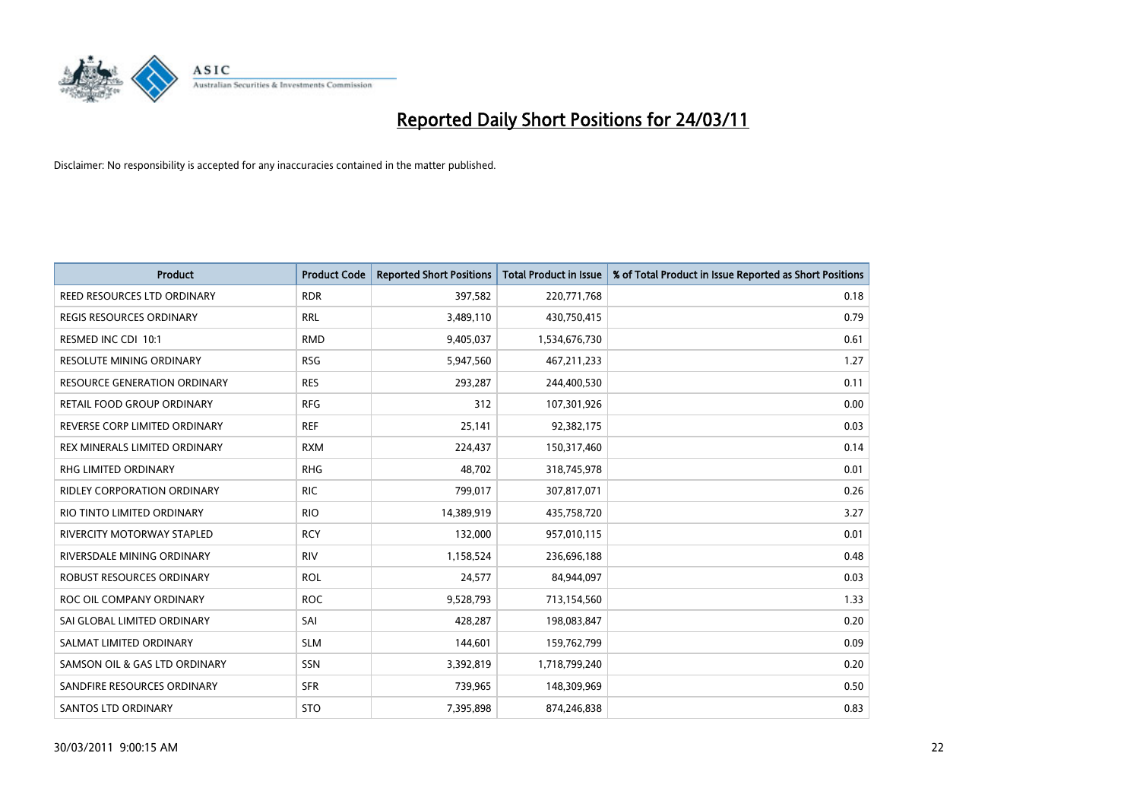

| Product                             | <b>Product Code</b> | <b>Reported Short Positions</b> | <b>Total Product in Issue</b> | % of Total Product in Issue Reported as Short Positions |
|-------------------------------------|---------------------|---------------------------------|-------------------------------|---------------------------------------------------------|
| <b>REED RESOURCES LTD ORDINARY</b>  | <b>RDR</b>          | 397,582                         | 220,771,768                   | 0.18                                                    |
| <b>REGIS RESOURCES ORDINARY</b>     | <b>RRL</b>          | 3,489,110                       | 430,750,415                   | 0.79                                                    |
| RESMED INC CDI 10:1                 | <b>RMD</b>          | 9,405,037                       | 1,534,676,730                 | 0.61                                                    |
| RESOLUTE MINING ORDINARY            | <b>RSG</b>          | 5,947,560                       | 467, 211, 233                 | 1.27                                                    |
| <b>RESOURCE GENERATION ORDINARY</b> | <b>RES</b>          | 293,287                         | 244,400,530                   | 0.11                                                    |
| <b>RETAIL FOOD GROUP ORDINARY</b>   | <b>RFG</b>          | 312                             | 107,301,926                   | 0.00                                                    |
| REVERSE CORP LIMITED ORDINARY       | <b>REF</b>          | 25,141                          | 92,382,175                    | 0.03                                                    |
| REX MINERALS LIMITED ORDINARY       | <b>RXM</b>          | 224,437                         | 150,317,460                   | 0.14                                                    |
| RHG LIMITED ORDINARY                | <b>RHG</b>          | 48,702                          | 318,745,978                   | 0.01                                                    |
| <b>RIDLEY CORPORATION ORDINARY</b>  | <b>RIC</b>          | 799,017                         | 307,817,071                   | 0.26                                                    |
| RIO TINTO LIMITED ORDINARY          | <b>RIO</b>          | 14,389,919                      | 435,758,720                   | 3.27                                                    |
| RIVERCITY MOTORWAY STAPLED          | <b>RCY</b>          | 132,000                         | 957,010,115                   | 0.01                                                    |
| RIVERSDALE MINING ORDINARY          | <b>RIV</b>          | 1,158,524                       | 236,696,188                   | 0.48                                                    |
| <b>ROBUST RESOURCES ORDINARY</b>    | <b>ROL</b>          | 24,577                          | 84,944,097                    | 0.03                                                    |
| ROC OIL COMPANY ORDINARY            | <b>ROC</b>          | 9,528,793                       | 713,154,560                   | 1.33                                                    |
| SAI GLOBAL LIMITED ORDINARY         | SAI                 | 428,287                         | 198,083,847                   | 0.20                                                    |
| SALMAT LIMITED ORDINARY             | <b>SLM</b>          | 144,601                         | 159,762,799                   | 0.09                                                    |
| SAMSON OIL & GAS LTD ORDINARY       | SSN                 | 3,392,819                       | 1,718,799,240                 | 0.20                                                    |
| SANDFIRE RESOURCES ORDINARY         | <b>SFR</b>          | 739,965                         | 148,309,969                   | 0.50                                                    |
| <b>SANTOS LTD ORDINARY</b>          | <b>STO</b>          | 7,395,898                       | 874,246,838                   | 0.83                                                    |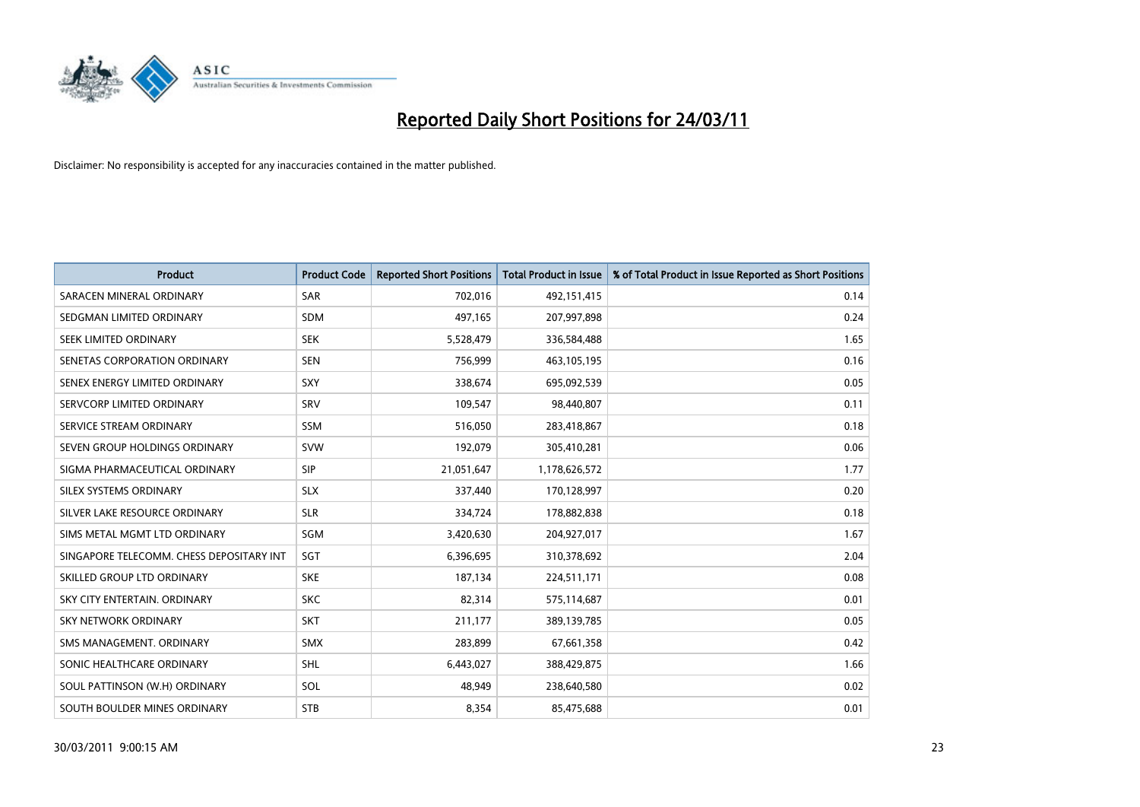

| <b>Product</b>                           | <b>Product Code</b> | <b>Reported Short Positions</b> | Total Product in Issue | % of Total Product in Issue Reported as Short Positions |
|------------------------------------------|---------------------|---------------------------------|------------------------|---------------------------------------------------------|
| SARACEN MINERAL ORDINARY                 | <b>SAR</b>          | 702,016                         | 492,151,415            | 0.14                                                    |
| SEDGMAN LIMITED ORDINARY                 | <b>SDM</b>          | 497,165                         | 207,997,898            | 0.24                                                    |
| SEEK LIMITED ORDINARY                    | <b>SEK</b>          | 5,528,479                       | 336,584,488            | 1.65                                                    |
| SENETAS CORPORATION ORDINARY             | <b>SEN</b>          | 756,999                         | 463,105,195            | 0.16                                                    |
| SENEX ENERGY LIMITED ORDINARY            | SXY                 | 338,674                         | 695,092,539            | 0.05                                                    |
| SERVCORP LIMITED ORDINARY                | SRV                 | 109,547                         | 98,440,807             | 0.11                                                    |
| SERVICE STREAM ORDINARY                  | <b>SSM</b>          | 516,050                         | 283,418,867            | 0.18                                                    |
| SEVEN GROUP HOLDINGS ORDINARY            | <b>SVW</b>          | 192,079                         | 305,410,281            | 0.06                                                    |
| SIGMA PHARMACEUTICAL ORDINARY            | <b>SIP</b>          | 21,051,647                      | 1,178,626,572          | 1.77                                                    |
| SILEX SYSTEMS ORDINARY                   | <b>SLX</b>          | 337,440                         | 170,128,997            | 0.20                                                    |
| SILVER LAKE RESOURCE ORDINARY            | <b>SLR</b>          | 334,724                         | 178,882,838            | 0.18                                                    |
| SIMS METAL MGMT LTD ORDINARY             | SGM                 | 3,420,630                       | 204,927,017            | 1.67                                                    |
| SINGAPORE TELECOMM. CHESS DEPOSITARY INT | SGT                 | 6,396,695                       | 310,378,692            | 2.04                                                    |
| SKILLED GROUP LTD ORDINARY               | <b>SKE</b>          | 187,134                         | 224,511,171            | 0.08                                                    |
| SKY CITY ENTERTAIN, ORDINARY             | <b>SKC</b>          | 82,314                          | 575,114,687            | 0.01                                                    |
| <b>SKY NETWORK ORDINARY</b>              | <b>SKT</b>          | 211,177                         | 389,139,785            | 0.05                                                    |
| SMS MANAGEMENT, ORDINARY                 | <b>SMX</b>          | 283,899                         | 67,661,358             | 0.42                                                    |
| SONIC HEALTHCARE ORDINARY                | <b>SHL</b>          | 6,443,027                       | 388,429,875            | 1.66                                                    |
| SOUL PATTINSON (W.H) ORDINARY            | SOL                 | 48,949                          | 238,640,580            | 0.02                                                    |
| SOUTH BOULDER MINES ORDINARY             | <b>STB</b>          | 8,354                           | 85,475,688             | 0.01                                                    |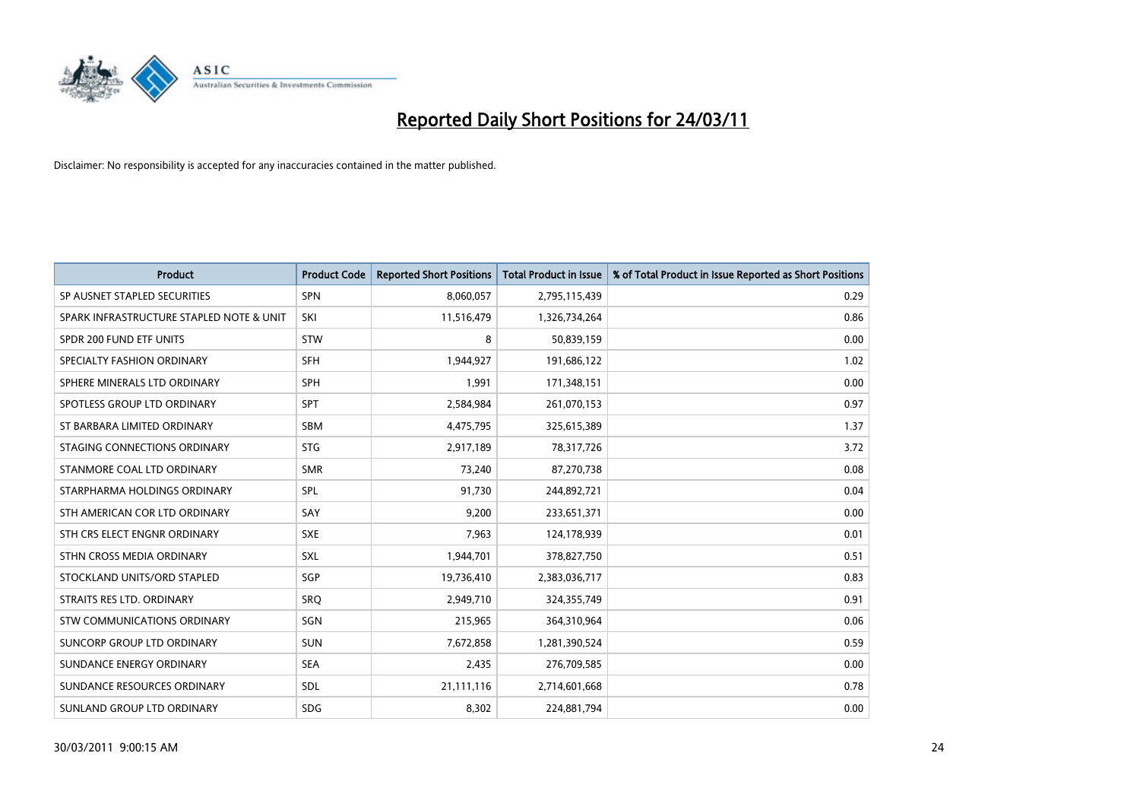

| <b>Product</b>                           | <b>Product Code</b> | <b>Reported Short Positions</b> | <b>Total Product in Issue</b> | % of Total Product in Issue Reported as Short Positions |
|------------------------------------------|---------------------|---------------------------------|-------------------------------|---------------------------------------------------------|
| SP AUSNET STAPLED SECURITIES             | <b>SPN</b>          | 8,060,057                       | 2,795,115,439                 | 0.29                                                    |
| SPARK INFRASTRUCTURE STAPLED NOTE & UNIT | SKI                 | 11,516,479                      | 1,326,734,264                 | 0.86                                                    |
| SPDR 200 FUND ETF UNITS                  | <b>STW</b>          | 8                               | 50,839,159                    | 0.00                                                    |
| SPECIALTY FASHION ORDINARY               | <b>SFH</b>          | 1,944,927                       | 191,686,122                   | 1.02                                                    |
| SPHERE MINERALS LTD ORDINARY             | SPH                 | 1.991                           | 171,348,151                   | 0.00                                                    |
| SPOTLESS GROUP LTD ORDINARY              | <b>SPT</b>          | 2,584,984                       | 261,070,153                   | 0.97                                                    |
| ST BARBARA LIMITED ORDINARY              | <b>SBM</b>          | 4,475,795                       | 325,615,389                   | 1.37                                                    |
| STAGING CONNECTIONS ORDINARY             | <b>STG</b>          | 2,917,189                       | 78,317,726                    | 3.72                                                    |
| STANMORE COAL LTD ORDINARY               | <b>SMR</b>          | 73,240                          | 87,270,738                    | 0.08                                                    |
| STARPHARMA HOLDINGS ORDINARY             | SPL                 | 91,730                          | 244,892,721                   | 0.04                                                    |
| STH AMERICAN COR LTD ORDINARY            | SAY                 | 9,200                           | 233,651,371                   | 0.00                                                    |
| STH CRS ELECT ENGNR ORDINARY             | <b>SXE</b>          | 7,963                           | 124,178,939                   | 0.01                                                    |
| STHN CROSS MEDIA ORDINARY                | <b>SXL</b>          | 1,944,701                       | 378,827,750                   | 0.51                                                    |
| STOCKLAND UNITS/ORD STAPLED              | <b>SGP</b>          | 19,736,410                      | 2,383,036,717                 | 0.83                                                    |
| STRAITS RES LTD. ORDINARY                | SRQ                 | 2,949,710                       | 324,355,749                   | 0.91                                                    |
| STW COMMUNICATIONS ORDINARY              | SGN                 | 215,965                         | 364,310,964                   | 0.06                                                    |
| SUNCORP GROUP LTD ORDINARY               | <b>SUN</b>          | 7,672,858                       | 1,281,390,524                 | 0.59                                                    |
| SUNDANCE ENERGY ORDINARY                 | <b>SEA</b>          | 2,435                           | 276,709,585                   | 0.00                                                    |
| SUNDANCE RESOURCES ORDINARY              | SDL                 | 21,111,116                      | 2,714,601,668                 | 0.78                                                    |
| SUNLAND GROUP LTD ORDINARY               | <b>SDG</b>          | 8,302                           | 224,881,794                   | 0.00                                                    |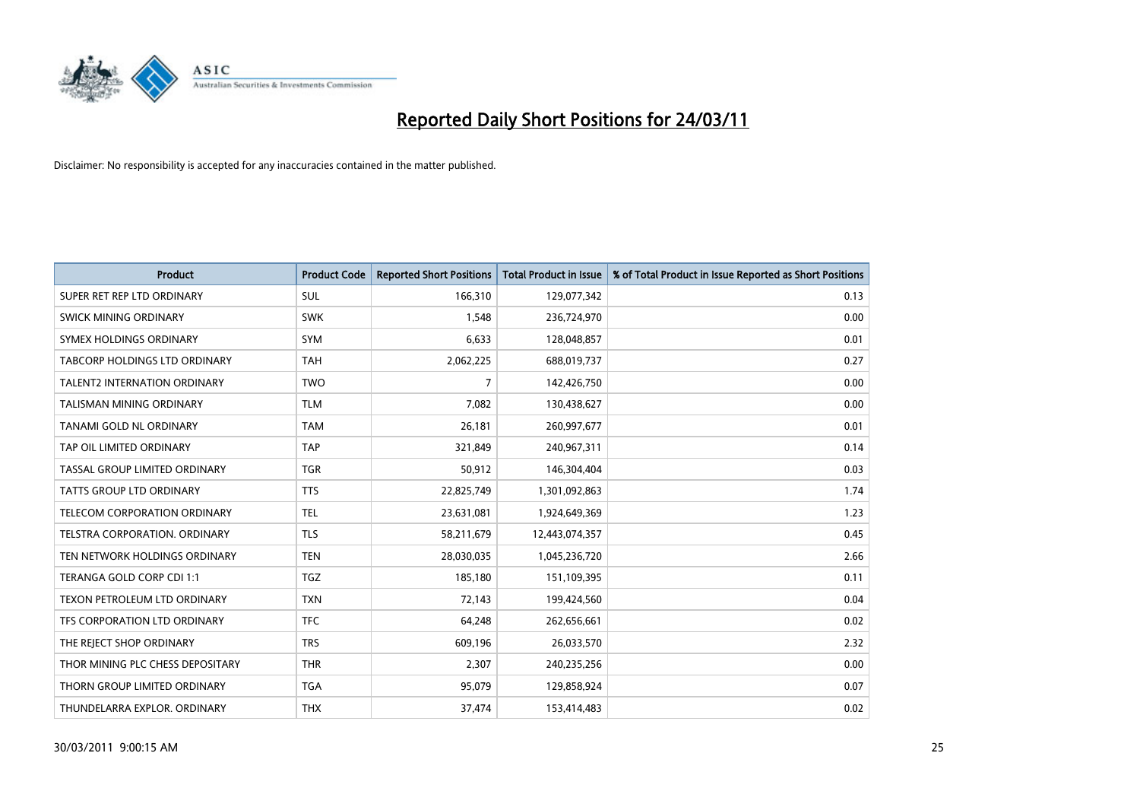

| <b>Product</b>                       | <b>Product Code</b> | <b>Reported Short Positions</b> | Total Product in Issue | % of Total Product in Issue Reported as Short Positions |
|--------------------------------------|---------------------|---------------------------------|------------------------|---------------------------------------------------------|
| SUPER RET REP LTD ORDINARY           | <b>SUL</b>          | 166,310                         | 129,077,342            | 0.13                                                    |
| <b>SWICK MINING ORDINARY</b>         | <b>SWK</b>          | 1,548                           | 236,724,970            | 0.00                                                    |
| SYMEX HOLDINGS ORDINARY              | <b>SYM</b>          | 6,633                           | 128,048,857            | 0.01                                                    |
| TABCORP HOLDINGS LTD ORDINARY        | <b>TAH</b>          | 2,062,225                       | 688,019,737            | 0.27                                                    |
| <b>TALENT2 INTERNATION ORDINARY</b>  | <b>TWO</b>          | 7                               | 142,426,750            | 0.00                                                    |
| TALISMAN MINING ORDINARY             | <b>TLM</b>          | 7,082                           | 130,438,627            | 0.00                                                    |
| TANAMI GOLD NL ORDINARY              | <b>TAM</b>          | 26,181                          | 260,997,677            | 0.01                                                    |
| TAP OIL LIMITED ORDINARY             | <b>TAP</b>          | 321,849                         | 240,967,311            | 0.14                                                    |
| TASSAL GROUP LIMITED ORDINARY        | <b>TGR</b>          | 50,912                          | 146,304,404            | 0.03                                                    |
| <b>TATTS GROUP LTD ORDINARY</b>      | <b>TTS</b>          | 22,825,749                      | 1,301,092,863          | 1.74                                                    |
| TELECOM CORPORATION ORDINARY         | <b>TEL</b>          | 23,631,081                      | 1,924,649,369          | 1.23                                                    |
| <b>TELSTRA CORPORATION, ORDINARY</b> | <b>TLS</b>          | 58,211,679                      | 12,443,074,357         | 0.45                                                    |
| TEN NETWORK HOLDINGS ORDINARY        | <b>TEN</b>          | 28,030,035                      | 1,045,236,720          | 2.66                                                    |
| TERANGA GOLD CORP CDI 1:1            | <b>TGZ</b>          | 185,180                         | 151,109,395            | 0.11                                                    |
| TEXON PETROLEUM LTD ORDINARY         | <b>TXN</b>          | 72,143                          | 199,424,560            | 0.04                                                    |
| TFS CORPORATION LTD ORDINARY         | <b>TFC</b>          | 64,248                          | 262,656,661            | 0.02                                                    |
| THE REJECT SHOP ORDINARY             | <b>TRS</b>          | 609,196                         | 26,033,570             | 2.32                                                    |
| THOR MINING PLC CHESS DEPOSITARY     | <b>THR</b>          | 2,307                           | 240,235,256            | 0.00                                                    |
| THORN GROUP LIMITED ORDINARY         | <b>TGA</b>          | 95,079                          | 129,858,924            | 0.07                                                    |
| THUNDELARRA EXPLOR, ORDINARY         | <b>THX</b>          | 37,474                          | 153,414,483            | 0.02                                                    |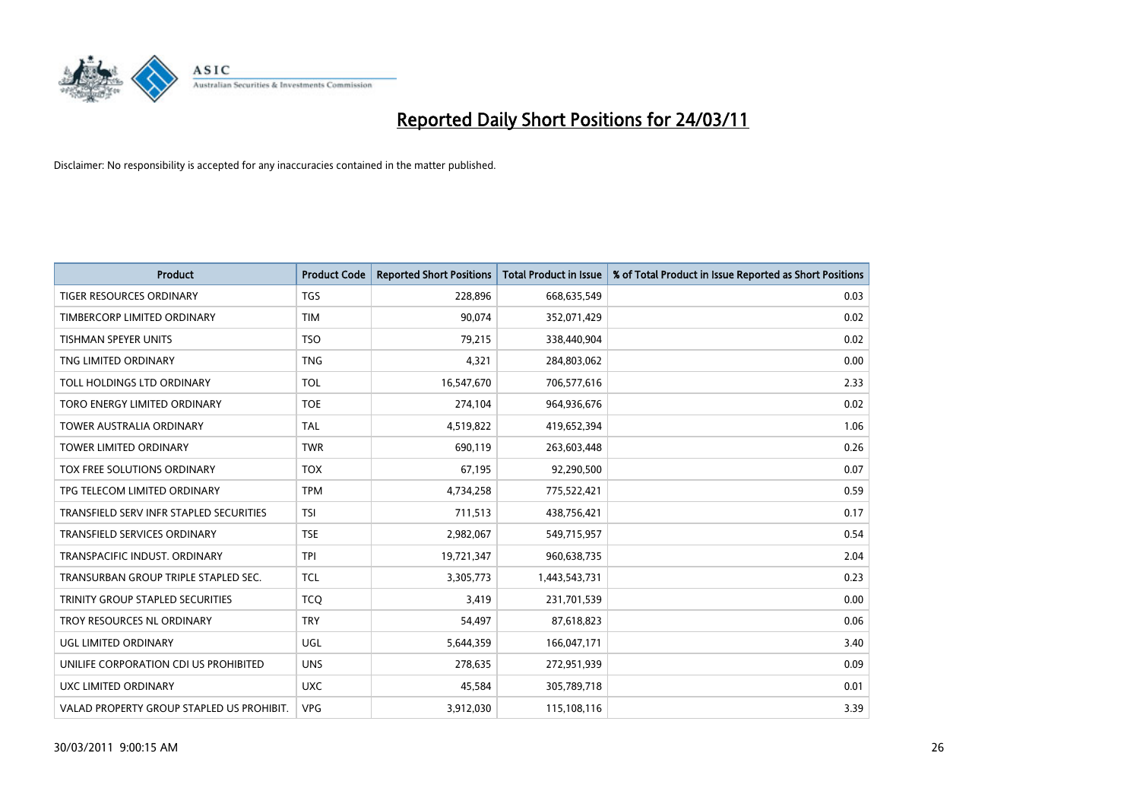

| <b>Product</b>                            | <b>Product Code</b> | <b>Reported Short Positions</b> | Total Product in Issue | % of Total Product in Issue Reported as Short Positions |
|-------------------------------------------|---------------------|---------------------------------|------------------------|---------------------------------------------------------|
| <b>TIGER RESOURCES ORDINARY</b>           | <b>TGS</b>          | 228,896                         | 668,635,549            | 0.03                                                    |
| TIMBERCORP LIMITED ORDINARY               | <b>TIM</b>          | 90,074                          | 352,071,429            | 0.02                                                    |
| <b>TISHMAN SPEYER UNITS</b>               | <b>TSO</b>          | 79,215                          | 338,440,904            | 0.02                                                    |
| TNG LIMITED ORDINARY                      | <b>TNG</b>          | 4,321                           | 284,803,062            | 0.00                                                    |
| TOLL HOLDINGS LTD ORDINARY                | <b>TOL</b>          | 16,547,670                      | 706,577,616            | 2.33                                                    |
| TORO ENERGY LIMITED ORDINARY              | <b>TOE</b>          | 274,104                         | 964,936,676            | 0.02                                                    |
| <b>TOWER AUSTRALIA ORDINARY</b>           | <b>TAL</b>          | 4,519,822                       | 419,652,394            | 1.06                                                    |
| <b>TOWER LIMITED ORDINARY</b>             | <b>TWR</b>          | 690,119                         | 263,603,448            | 0.26                                                    |
| TOX FREE SOLUTIONS ORDINARY               | <b>TOX</b>          | 67,195                          | 92,290,500             | 0.07                                                    |
| TPG TELECOM LIMITED ORDINARY              | <b>TPM</b>          | 4,734,258                       | 775,522,421            | 0.59                                                    |
| TRANSFIELD SERV INFR STAPLED SECURITIES   | <b>TSI</b>          | 711,513                         | 438,756,421            | 0.17                                                    |
| <b>TRANSFIELD SERVICES ORDINARY</b>       | <b>TSE</b>          | 2,982,067                       | 549,715,957            | 0.54                                                    |
| TRANSPACIFIC INDUST, ORDINARY             | <b>TPI</b>          | 19,721,347                      | 960,638,735            | 2.04                                                    |
| TRANSURBAN GROUP TRIPLE STAPLED SEC.      | <b>TCL</b>          | 3,305,773                       | 1,443,543,731          | 0.23                                                    |
| TRINITY GROUP STAPLED SECURITIES          | <b>TCO</b>          | 3,419                           | 231,701,539            | 0.00                                                    |
| TROY RESOURCES NL ORDINARY                | <b>TRY</b>          | 54,497                          | 87,618,823             | 0.06                                                    |
| UGL LIMITED ORDINARY                      | <b>UGL</b>          | 5,644,359                       | 166,047,171            | 3.40                                                    |
| UNILIFE CORPORATION CDI US PROHIBITED     | <b>UNS</b>          | 278,635                         | 272,951,939            | 0.09                                                    |
| <b>UXC LIMITED ORDINARY</b>               | <b>UXC</b>          | 45,584                          | 305,789,718            | 0.01                                                    |
| VALAD PROPERTY GROUP STAPLED US PROHIBIT. | <b>VPG</b>          | 3,912,030                       | 115,108,116            | 3.39                                                    |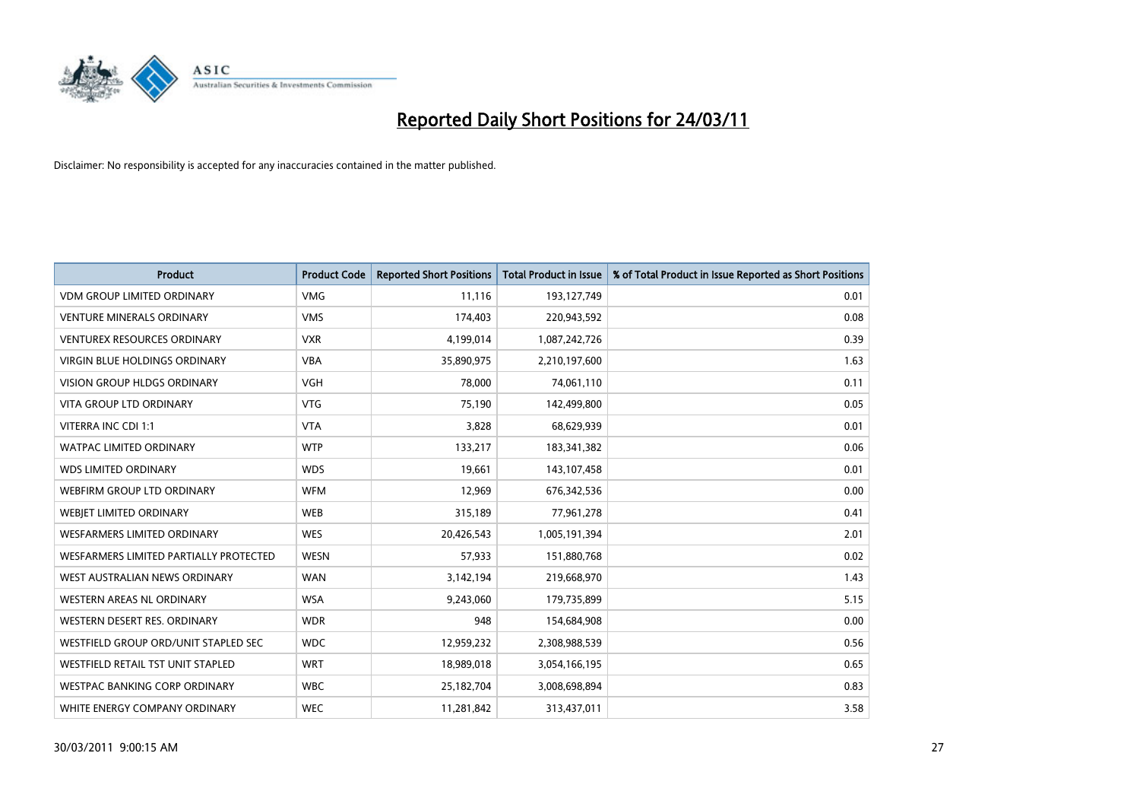

| <b>Product</b>                         | <b>Product Code</b> | <b>Reported Short Positions</b> | <b>Total Product in Issue</b> | % of Total Product in Issue Reported as Short Positions |
|----------------------------------------|---------------------|---------------------------------|-------------------------------|---------------------------------------------------------|
| <b>VDM GROUP LIMITED ORDINARY</b>      | <b>VMG</b>          | 11,116                          | 193,127,749                   | 0.01                                                    |
| VENTURE MINERALS ORDINARY              | <b>VMS</b>          | 174,403                         | 220,943,592                   | 0.08                                                    |
| <b>VENTUREX RESOURCES ORDINARY</b>     | <b>VXR</b>          | 4,199,014                       | 1,087,242,726                 | 0.39                                                    |
| VIRGIN BLUE HOLDINGS ORDINARY          | <b>VBA</b>          | 35,890,975                      | 2,210,197,600                 | 1.63                                                    |
| <b>VISION GROUP HLDGS ORDINARY</b>     | <b>VGH</b>          | 78,000                          | 74,061,110                    | 0.11                                                    |
| <b>VITA GROUP LTD ORDINARY</b>         | <b>VTG</b>          | 75,190                          | 142,499,800                   | 0.05                                                    |
| VITERRA INC CDI 1:1                    | <b>VTA</b>          | 3,828                           | 68,629,939                    | 0.01                                                    |
| <b>WATPAC LIMITED ORDINARY</b>         | <b>WTP</b>          | 133,217                         | 183,341,382                   | 0.06                                                    |
| <b>WDS LIMITED ORDINARY</b>            | <b>WDS</b>          | 19,661                          | 143,107,458                   | 0.01                                                    |
| WEBFIRM GROUP LTD ORDINARY             | <b>WFM</b>          | 12,969                          | 676,342,536                   | 0.00                                                    |
| WEBJET LIMITED ORDINARY                | <b>WEB</b>          | 315,189                         | 77,961,278                    | 0.41                                                    |
| WESFARMERS LIMITED ORDINARY            | <b>WES</b>          | 20,426,543                      | 1,005,191,394                 | 2.01                                                    |
| WESFARMERS LIMITED PARTIALLY PROTECTED | <b>WESN</b>         | 57,933                          | 151,880,768                   | 0.02                                                    |
| WEST AUSTRALIAN NEWS ORDINARY          | <b>WAN</b>          | 3,142,194                       | 219,668,970                   | 1.43                                                    |
| WESTERN AREAS NL ORDINARY              | <b>WSA</b>          | 9,243,060                       | 179,735,899                   | 5.15                                                    |
| WESTERN DESERT RES. ORDINARY           | <b>WDR</b>          | 948                             | 154,684,908                   | 0.00                                                    |
| WESTFIELD GROUP ORD/UNIT STAPLED SEC   | <b>WDC</b>          | 12,959,232                      | 2,308,988,539                 | 0.56                                                    |
| WESTFIELD RETAIL TST UNIT STAPLED      | <b>WRT</b>          | 18,989,018                      | 3,054,166,195                 | 0.65                                                    |
| <b>WESTPAC BANKING CORP ORDINARY</b>   | <b>WBC</b>          | 25,182,704                      | 3,008,698,894                 | 0.83                                                    |
| WHITE ENERGY COMPANY ORDINARY          | <b>WEC</b>          | 11,281,842                      | 313,437,011                   | 3.58                                                    |